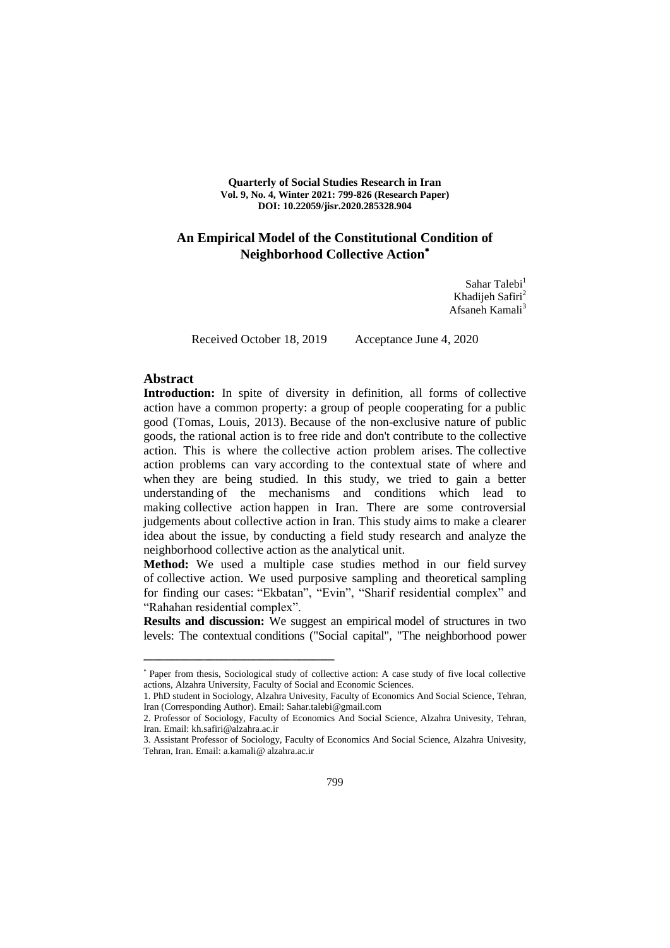**Quarterly of Social Studies Research in Iran Vol. 9, No. 4, Winter 2021: 799-826 (Research Paper) DOI: 10.22059/jisr.2020.285328.904**

## **An Empirical Model of the Constitutional Condition of Neighborhood Collective Action**

Sahar Talebi<sup>1</sup> Khadijeh Safiri<sup>2</sup> Afsaneh Kamali<sup>3</sup>

ــــــــــــــــــــــــــــــــــــــــــــــــــــــــــــــــــــــــــــــــــــــــــــــــــــــــــــــــــــــــــــــــــــــــــــــــ

Received October 18, 2019 Acceptance June 4, 2020

#### **Abstract**

Introduction: In spite of diversity in definition, all forms of collective action have a common property: a group of people cooperating for a public good (Tomas, Louis, 2013). Because of the non-exclusive nature of public goods, the rational action is to free ride and don't contribute to the collective action. This is where the collective action problem arises. The collective action problems can vary according to the contextual state of where and when they are being studied. In this study, we tried to gain a better understanding of the mechanisms and conditions which lead to making collective action happen in Iran. There are some controversial judgements about collective action in Iran. This study aims to make a clearer idea about the issue, by conducting a field study research and analyze the neighborhood collective action as the analytical unit.

**Method:** We used a multiple case studies method in our field survey of collective action. We used purposive sampling and theoretical sampling for finding our cases: "Ekbatan", "Evin", "Sharif residential complex" and "Rahahan residential complex".

**Results and discussion:** We suggest an empirical model of structures in two levels: The contextual conditions ("Social capital", "The neighborhood power

Paper from thesis, Sociological study of collective action: A case study of five local collective actions, Alzahra University, Faculty of Social and Economic Sciences.

<sup>1.</sup> PhD student in Sociology, Alzahra Univesity, Faculty of Economics And Social Science, Tehran, Iran (Corresponding Author). Email: Sahar.talebi@gmail.com

<sup>2.</sup> Professor of Sociology, Faculty of Economics And Social Science, Alzahra Univesity, Tehran, Iran. Email: kh.safiri@alzahra.ac.ir

<sup>3.</sup> Assistant Professor of Sociology, Faculty of Economics And Social Science, Alzahra Univesity, Tehran, Iran. Email: a.kamali@ alzahra.ac.ir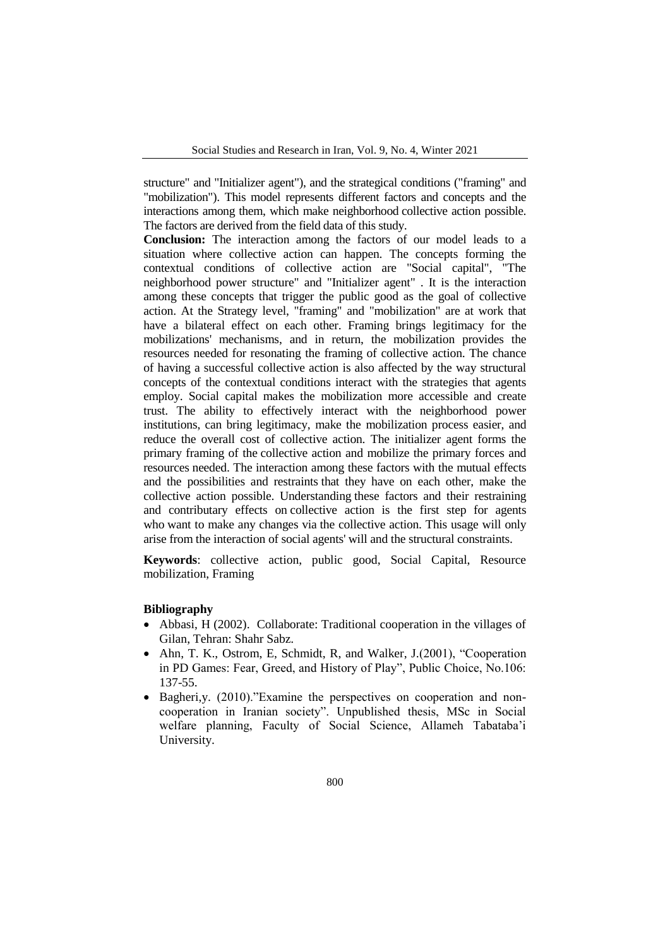structure" and "Initializer agent"), and the strategical conditions ("framing" and "mobilization"). This model represents different factors and concepts and the interactions among them, which make neighborhood collective action possible. The factors are derived from the field data of this study.

**Conclusion:** The interaction among the factors of our model leads to a situation where collective action can happen. The concepts forming the contextual conditions of collective action are "Social capital", "The neighborhood power structure" and "Initializer agent" . It is the interaction among these concepts that trigger the public good as the goal of collective action. At the Strategy level, "framing" and "mobilization" are at work that have a bilateral effect on each other. Framing brings legitimacy for the mobilizations' mechanisms, and in return, the mobilization provides the resources needed for resonating the framing of collective action. The chance of having a successful collective action is also affected by the way structural concepts of the contextual conditions interact with the strategies that agents employ. Social capital makes the mobilization more accessible and create trust. The ability to effectively interact with the neighborhood power institutions, can bring legitimacy, make the mobilization process easier, and reduce the overall cost of collective action. The initializer agent forms the primary framing of the collective action and mobilize the primary forces and resources needed. The interaction among these factors with the mutual effects and the possibilities and restraints that they have on each other, make the collective action possible. Understanding these factors and their restraining and contributary effects on collective action is the first step for agents who want to make any changes via the collective action. This usage will only arise from the interaction of social agents' will and the structural constraints.

**Keywords**: collective action, public good, Social Capital, Resource mobilization, Framing

#### **Bibliography**

- Abbasi, H (2002). Collaborate: Traditional cooperation in the villages of Gilan, Tehran: Shahr Sabz.
- Ahn, T. K., Ostrom, E. Schmidt, R. and Walker, J. $(2001)$ , "Cooperation in PD Games: Fear, Greed, and History of Play", Public Choice, No.106: 137-55.
- Bagheri,y. (2010)."Examine the perspectives on cooperation and noncooperation in Iranian society". Unpublished thesis, MSc in Social welfare planning, Faculty of Social Science, Allameh Tabataba'i University.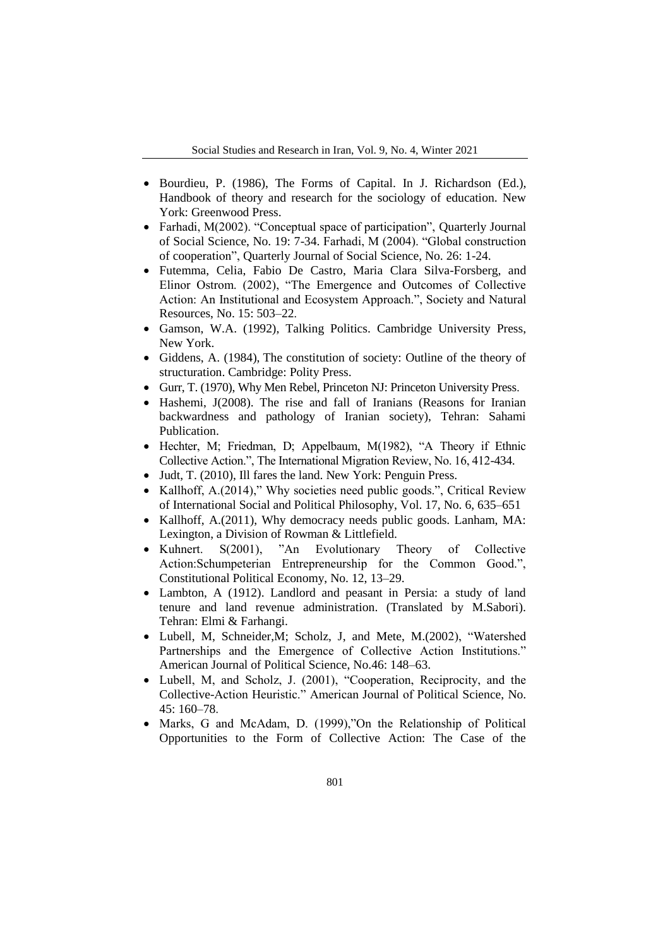- Bourdieu, P. (1986), The Forms of Capital. In J. Richardson (Ed.), Handbook of theory and research for the sociology of education. New York: Greenwood Press.
- Farhadi, M(2002). "Conceptual space of participation", Quarterly Journal of Social Science, No. 19: 7-34. Farhadi, M (2004). "Global construction of cooperation", Quarterly Journal of Social Science, No. 26: 1-24.
- Futemma, Celia, Fabio De Castro, Maria Clara Silva-Forsberg, and Elinor Ostrom. (2002), "The Emergence and Outcomes of Collective Action: An Institutional and Ecosystem Approach.", Society and Natural Resources, No. 15: 503–22.
- Gamson, W.A. (1992), Talking Politics. Cambridge University Press, New York.
- Giddens, A. (1984), The constitution of society: Outline of the theory of structuration. Cambridge: Polity Press.
- Gurr, T. (1970), Why Men Rebel, Princeton NJ: Princeton University Press.
- Hashemi, J(2008). The rise and fall of Iranians (Reasons for Iranian backwardness and pathology of Iranian society), Tehran: Sahami Publication.
- $\bullet$  Hechter, M; Friedman, D; Appelbaum, M(1982), "A Theory if Ethnic Collective Action.", The International Migration Review, No. 16, 412-434.
- Judt, T. (2010), Ill fares the land. New York: Penguin Press.
- Kallhoff, A. (2014)," Why societies need public goods.", Critical Review of International Social and Political Philosophy, Vol. 17, No. 6, 635–651
- Kallhoff, A.(2011), Why democracy needs public goods. Lanham, MA: Lexington, a Division of Rowman & Littlefield.
- Kuhnert. S(2001), "An Evolutionary Theory of Collective Action:Schumpeterian Entrepreneurship for the Common Good.", Constitutional Political Economy, No. 12, 13–29.
- Lambton, A (1912). Landlord and peasant in Persia: a study of land tenure and land revenue administration. (Translated by M.Sabori). Tehran: Elmi & Farhangi.
- Lubell, M, Schneider, M; Scholz, J, and Mete, M. (2002), "Watershed Partnerships and the Emergence of Collective Action Institutions." American Journal of Political Science, No.46: 148–63.
- Lubell, M, and Scholz, J. (2001), "Cooperation, Reciprocity, and the Collective-Action Heuristic." American Journal of Political Science, No. 45: 160–78.
- Marks, G and McAdam, D. (1999), ''On the Relationship of Political Opportunities to the Form of Collective Action: The Case of the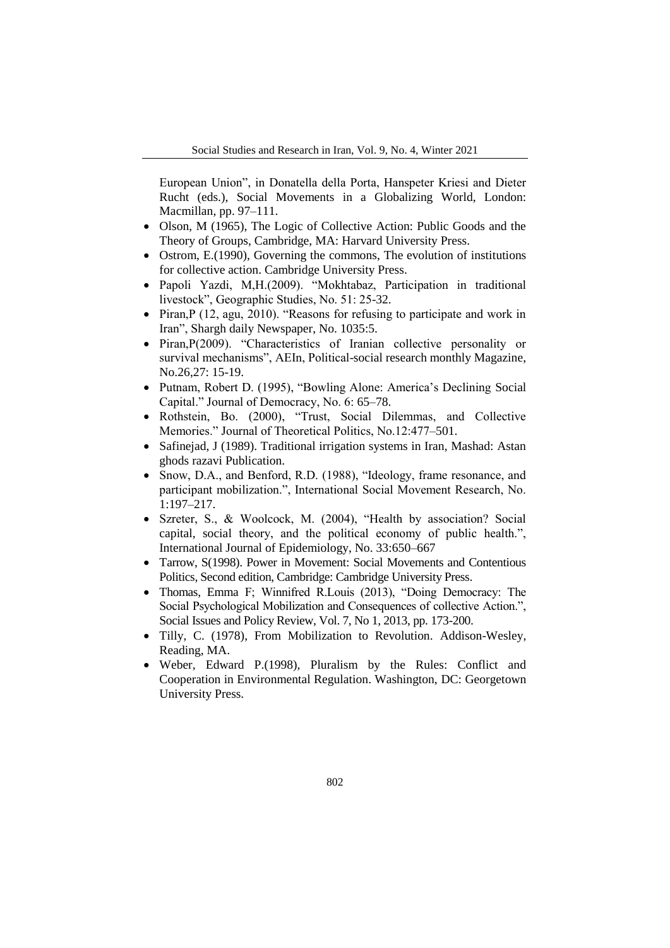European Union", in Donatella della Porta, Hanspeter Kriesi and Dieter Rucht (eds.), Social Movements in a Globalizing World, London: Macmillan, pp. 97–111.

- Olson, M (1965), The Logic of Collective Action: Public Goods and the Theory of Groups, Cambridge, MA: Harvard University Press.
- Ostrom, E.(1990), Governing the commons, The evolution of institutions for collective action. Cambridge University Press.
- · Papoli Yazdi, M,H. (2009). "Mokhtabaz, Participation in traditional livestock", Geographic Studies, No. 51: 25-32.
- Piran,P (12, agu, 2010). "Reasons for refusing to participate and work in Iran", Shargh daily Newspaper, No. 1035:5.
- Piran,  $P(2009)$ . "Characteristics of Iranian collective personality or survival mechanisms", AEIn, Political-social research monthly Magazine, No.26,27: 15-19.
- Putnam, Robert D. (1995), "Bowling Alone: America's Declining Social Capital." Journal of Democracy, No. 6: 65–78.
- Rothstein, Bo. (2000), "Trust, Social Dilemmas, and Collective Memories." Journal of Theoretical Politics, No.12:477–501.
- Safinejad, J (1989). Traditional irrigation systems in Iran, Mashad: Astan ghods razavi Publication.
- Snow, D.A., and Benford, R.D. (1988), "Ideology, frame resonance, and participant mobilization.", International Social Movement Research, No. 1:197–217.
- Szreter, S., & Woolcock, M. (2004), "Health by association? Social capital, social theory, and the political economy of public health.", International Journal of Epidemiology, No. 33:650–667
- Tarrow, S(1998). Power in Movement: Social Movements and Contentious Politics, Second edition, Cambridge: Cambridge University Press.
- Thomas, Emma F; Winnifred R.Louis (2013), "Doing Democracy: The Social Psychological Mobilization and Consequences of collective Action.", Social Issues and Policy Review, Vol. 7, No 1, 2013, pp. 173-200.
- Tilly, C. (1978), From Mobilization to Revolution. Addison-Wesley, Reading, MA.
- Weber, Edward P.(1998), Pluralism by the Rules: Conflict and Cooperation in Environmental Regulation. Washington, DC: Georgetown University Press.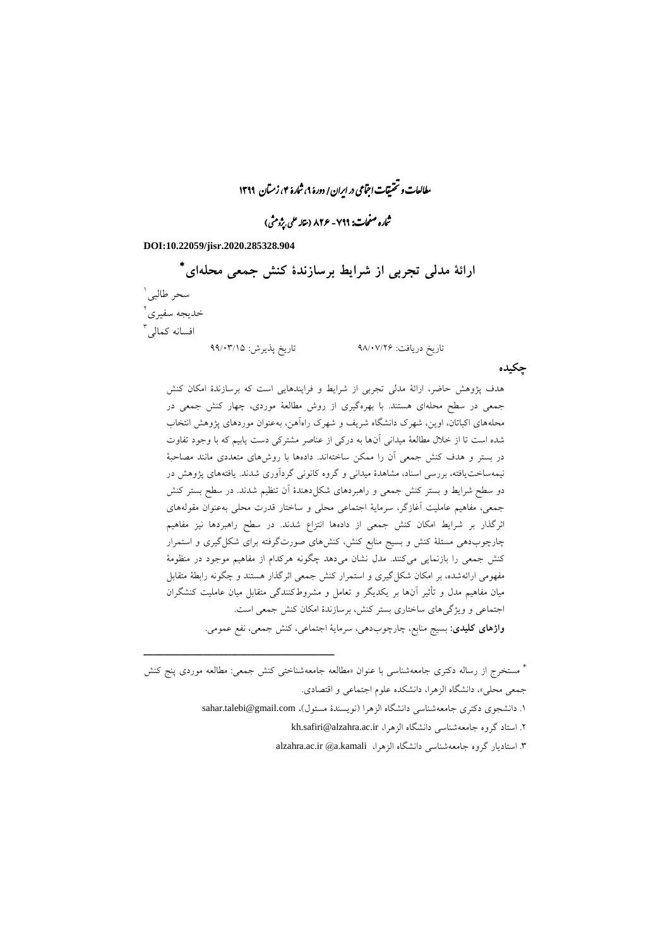مطالعات و تحقیقات اجتماعی در ایران/ دورۀ ۹، شارۀ ۴، زمتان ۱۳۹۹

نماره صفحات: ۷۹۹ - ۸۲۶ (نقاله علمی بپژومثی)

#### **DOI:10.22059/jisr.2020.285328.904**

ــــــــــــــــــــــــــــــــــــــــــــــــــــــــــــــــــــــــــــــــــــــــــــــــــــــــــــــــــــــــــــــــــــــــــــــــ

 **ارائة مدلی تجربی از شرایط برسازندة کنش جمعی محلهای** سحر طالب*ی* ٰ 0 خدیجه سفیری افسانه کمال<sub>ی</sub> آ تاریخ دریافت: 02/99/00 تاریخ پذیرش: 00/93/12

**چکیده**

هدف پژوهش حاضر، ارائة مدلی تجربی از شرایط و فرایندهایی است که برسازندة امکان کنش جمعی در سطح محلهای هستند. با بهرهگیری از روش مطالعة موردی، چهار کنش جمعی در محلههای اکباتان، اوین، شهرک دانشگاه شریف و شهرک راهآهن، بهعنوان موردهای پژوهش انتخاب شده است تا از خالل مطالعة میدانی آنها به درکی از عناصر مشترکی دست یابیم که با وجود تفاوت در بستر و هدف کنش جمعی آن را ممکن ساختهاند. دادهها با روشهای متعددی مانند مصاحبة نیمهساختیافته، بررسی اسناد، مشاهدة میدانی و گروه کانونی گردآوری شدند. یافتههای پژوهش در دو سطح شرایط و بستر کنش جمعی و راهبردهای شکلدهندة آن تنظیم شدند. در سطح بستر کنش جمعی، مفاهیم عاملیت آغازگر، سرمایة اجتماعی محلی و ساختار قدرت محلی بهعنوان مقولههای اثرگذار بر شرایط امکان کنش جمعی از دادهها انتزاع شدند. در سطح راهبردها نیز مفاهیم چارچوبدهی مسئلة کنش و بسیج منابع کنش، کنشهای صورتگرفته برای شکلگیری و استمرار کنش جمعی را بازنمایی میکنند. مدل نشان میدهد چگونه هرکدام از مفاهیم موجود در منظومة مفهومی ارائهشده، بر امکان شکلگیری و استمرار کنش جمعی اثرگذار هستند و چگونه رابطة متقابل میان مفاهیم مدل و تأثیر آنها بر یکدیگر و تعامل و مشروطکنندگی متقابل میان عاملیت کنشگران اجتماعی و ویژگیهای ساختاری بستر کنش، برسازندة امکان کنش جمعی است. **واژهای کلیدی:** بسیج منابع، چارچوبدهی، سرمایة اجتماعی، کنش جمعی، نفع عمومی.

 مستخرج از رساله دکتری جامعهشناسی با عنوان »مطالعه جامعهشناختی کنش جمعی: مطالعه موردی پنج کنش جمعی محلی«، دانشگاه الزهرا، دانشکده علوم اجتماعی و اقتصادی. ۱. دانشجوی دکتری جامعهشناسی دانشگاه الزهرا (نویسندهٔ مسئول)، sahar.talebi@gmail.com .0 استاد گروه جامعهشناسی دانشگاه الزهرا، ir.ac.alzahra@safiri.kh .3 استادیار گروه جامعهشناسی دانشگاه الزهرا، kamali.a @ir.ac.alzahra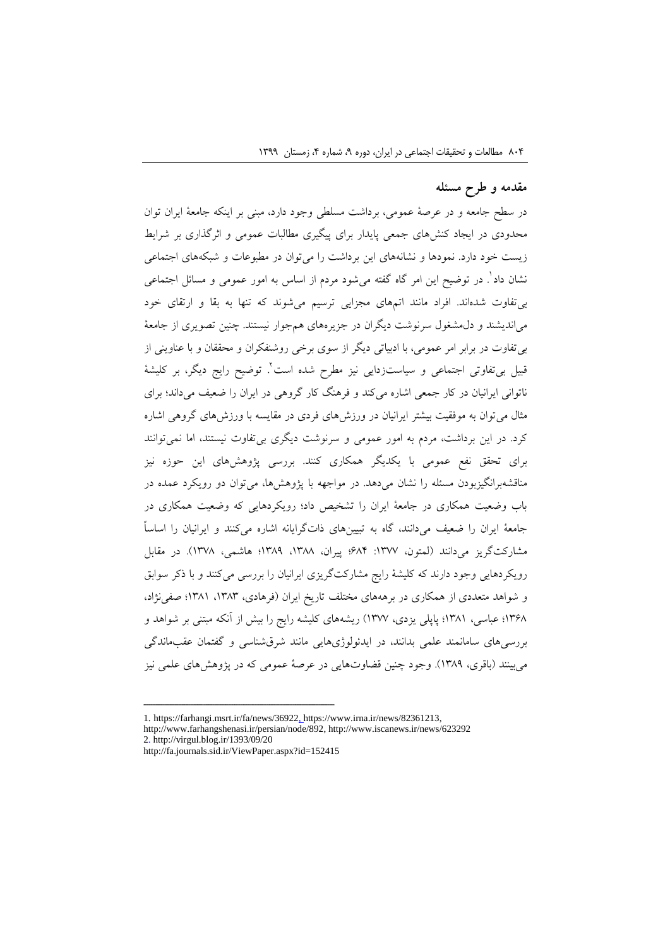# **مقدمه و طرح مسئله**

در سطح جامعه و در عرصة عمومی، برداشت مسلطی وجود دارد، مبنی بر اینکه جامعة ایران توان محدودی در ایجاد کنشهای جمعی پایدار برای پیگیری مطالبات عمومی و اثرگذاری بر شرایط زیست خود دارد. نمودها و نشانههای این برداشت را میتوان در مطبوعات و شبکههای اجتماعی 1 نشان داد . در توضیح این امر گاه گفته میشود مردم از اساس به امور عمومی و مسائل اجتماعی بیتفاوت شدهاند. افراد مانند اتمهای مجزایی ترسیم میشوند که تنها به بقا و ارتقای خود میاندیشند و دلمشغول سرنوشت دیگران در جزیرههای همجوار نیستند. چنین تصویری از جامعة بیتفاوت در برابر امر عمومی، با ادبیاتی دیگر از سوی برخی روشنفکران و محققان و با عناوینی از 0 قبیل بیتفاوتی اجتماعی و سیاستزدایی نیز مطرح شده است . توضیح رایج دیگر، بر کلیشة ناتوانی ایرانیان در کار جمعی اشاره میکند و فرهنگ کار گروهی در ایران را ضعیف میداند؛ برای مثال میتوان به موفقیت بیشتر ایرانیان در ورزشهای فردی در مقایسه با ورزشهای گروهی اشاره کرد. در این برداشت، مردم به امور عمومی و سرنوشت دیگری بیتفاوت نیستند، اما نمیتوانند برای تحقق نفع عمومی با یکدیگر همکاری کنند. بررسی پژوهشهای این حوزه نیز مناقشهبرانگیزبودن مسئله را نشان میدهد. در مواجهه با پژوهشها، میتوان دو رویکرد عمده در باب وضعیت همکاری در جامعة ایران را تشخیص داد؛ رویکردهایی که وضعیت همکاری در جامعة ایران را ضعیف میدانند، گاه به تبیینهای ذاتگرایانه اشاره میکنند و ایرانیان را اساساً مشارکتگریز میدانند (لمتون، ۱۳۷۷: ۶۸۴؛ پیران، ۱۳۸۸، ۱۳۸۹؛ هاشمی، ۱۳۷۸). در مقابل رویکردهایی وجود دارند که کلیشة رایج مشارکتگریزی ایرانیان را بررسی میکنند و با ذکر سوابق و شواهد متعددی از همکاری در برهههای مختلف تاریخ ایران (فرهادی، ۱۳۸۳، ۱۳۸۱؛ صفیiژاد، 1302؛ عباسی، 1321؛ پاپلی یزدی، 1399( ریشههای کلیشه رایج را بیش از آنکه مبتنی بر شواهد و بررسیهای سامانمند علمی بدانند، در ایدئولوژیهایی مانند شرقشناسی و گفتمان عقبماندگی میبینند )باقری، 1320(. وجود چنین قضاوتهایی در عرصة عمومی که در پژوهشهای علمی نیز

<sup>1.</sup> https://farhangi.msrt.ir/fa/news/36922, https://www.irna.ir/news/82361213, http://www.farhangshenasi.ir/persian/node/892, http://www.iscanews.ir/news/623292 2. http://virgul.blog.ir/1393/09/20

http://fa.journals.sid.ir/ViewPaper.aspx?id=152415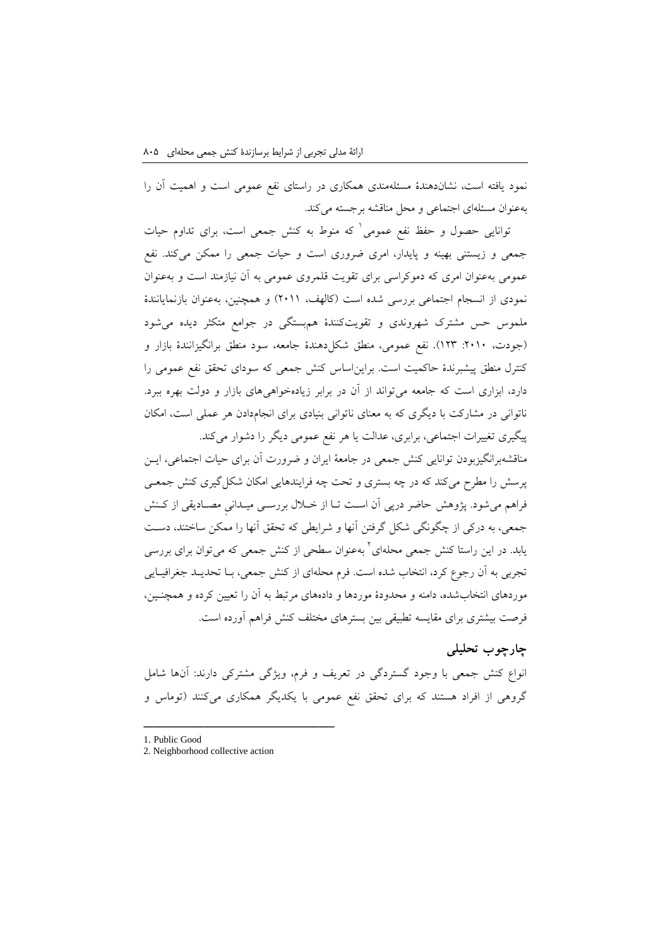نمود یافته است، نشاندهندة مسئلهمندی همکاری در راستای نفع عمومی است و اهمیت آن را بهعنوان مسئلهای اجتماعی و محل مناقشه برجسته میکند.

1 توانایی حصول و حفظ نفع عمومی که منوط به کنش جمعی است، برای تداوم حیات جمعی و زیستنی بهینه و پایدار، امری ضروری است و حیات جمعی را ممکن میکند. نفع عمومی بهعنوان امری که دموکراسی برای تقویت قلمروی عمومی به آن نیازمند است و بهعنوان نمودی از انسجام اجتماعی بررسی شده است (کالهف، ۲۰۱۱) و همچنین، بهعنوان بازنمایانندهٔ ملموس حس مشترک شهروندی و تقویتکنندة همبستگی در جوامع متکثر دیده میشود )جودت، :0919 103(. نفع عمومی، منطق شکلدهندة جامعه، سود منطق برانگیزانندة بازار و کنترل منطق پیشبرندة حاکمیت است. برایناساس کنش جمعی که سودای تحقق نفع عمومی را دارد، ابزاری است که جامعه میتواند از آن در برابر زیادهخواهیهای بازار و دولت بهره ببرد. ناتوانی در مشارکت با دیگری که به معنای ناتوانی بنیادی برای انجامدادن هر عملی است، امکان پیگیری تغییرات اجتماعی، برابری، عدالت یا هر نفع عمومی دیگر را دشوار میکند.

مناقشهبرانگیزبودن توانایی کنش جمعی در جامعة ایران و ضرورت آن برای حیات اجتماعی، اینن پرسش را مطرح میکند که در چه بستری و تحت چه فرایندهایی امکان شکلگیری کنش جمعنی فراهم میشود. پژوهش حاضر درپی آن است تـا از خــلال بررسـی میــدانی مصــادیقی از کـنش جمعی، به درکی از چگونگی شکل گرفتن آنها و شرایطی که تحقق آنها را ممکن ساختند، دسنت یابد. در این راستا کنش جمعی محلهای<sup>۲</sup> بهعنوان سطحی از کنش جمعی که میتوان برای بررسی تجربی به آن رجوع کرد، انتخاب شده است. فرم محلهای از کنش جمعی، بنا تحدیند جغرافینایی موردهای انتخابشده، دامنه و محدودة موردها و دادههای مرتبط به آن را تعیین کرده و همچننین، فرصت بیشتری برای مقایسه تطبیقی بین بسترهای مختلف کنش فراهم آورده است.

## **چارچوب تحلیلی**

انواع کنش جمعی با وجود گستردگی در تعریف و فرم، ویژگی مشترکی دارند: آنها شامل گروهی از افراد هستند که برای تحقق نفع عمومی با یکدیگر همکاری میکنند )توماس و

1. Public Good

<sup>2.</sup> Neighborhood collective action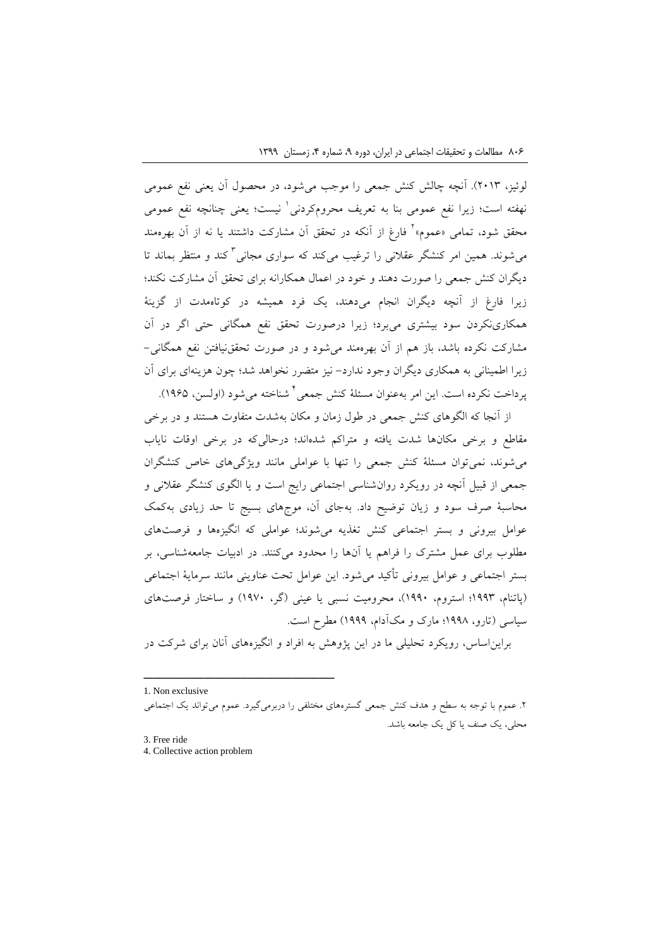لوئیز، 0913(. آنچه چالش کنش جمعی را موجب میشود، در محصول آن یعنی نفع عمومی نهفته است؛ زیرا نفع عمومی بنا به تعریف محرومکردنی ٰ نیست؛ یعنی چنانچه نفع عمومی محقق شود، تمامی «عموم»<sup>٬</sup> فارغ از آنکه در تحقق آن مشارکت داشتند یا نه از آن بهرهمند میشوند. همین امر کنشگر عقالنی را ترغیب میکند که سواری مجانی 3 کند و منتظر بماند تا دیگران کنش جمعی را صورت دهند و خود در اعمال همکارانه برای تحقق آن مشارکت نکند؛ زیرا فارغ از آنچه دیگران انجام میدهند، یک فرد همیشه در کوتاهمدت از گزینة همکارینکردن سود بیشتری میبرد؛ زیرا درصورت تحقق نفع همگانی حتی اگر در آن مشارکت نکرده باشد، باز هم از آن بهرهمند میشود و در صورت تحققنیافتن نفع همگانی- زیرا اطمینانی به همکاری دیگران وجود ندارد- نیز متضرر نخواهد شد؛ چون هزینهای برای آن پرداخت نکرده است. این امر بهعنوان مسئلهٔ کنش جمعی<sup>۲</sup> شناخته میشود (اولسن، ۱۹۶۵).

از آنجا که الگوهای کنش جمعی در طول زمان و مکان بهشدت متفاوت هستند و در برخی مقاطع و برخی مکانها شدت یافته و متراکم شدهاند؛ درحالیکه در برخی اوقات نایاب میشوند، نمیتوان مسئلة کنش جمعی را تنها با عواملی مانند ویژگیهای خاص کنشگران جمعی از قبیل آنچه در رویکرد روانشناسی اجتماعی رایج است و یا الگوی کنشگر عقالنی و محاسبة صرف سود و زیان توضیح داد. بهجای آن، موجهای بسیج تا حد زیادی بهکمک عوامل بیرونی و بستر اجتماعی کنش تغذیه میشوند؛ عواملی که انگیزهها و فرصتهای مطلوب برای عمل مشترک را فراهم یا آنها را محدود میکنند. در ادبیات جامعهشناسی، بر بستر اجتماعی و عوامل بیرونی تأکید میشود. این عوامل تحت عناوینی مانند سرمایة اجتماعی )پاتنام، 1003؛ استروم، 1009(، محرومیت نسبی یا عینی )گر، 1099( و ساختار فرصتهای سیاسی )تارو، 1002؛ مارک و مکآدام، 1000( مطرح است.

برایناساس، رویکرد تحلیلی ما در این پژوهش به افراد و انگیزههای آنان برای شرکت در

1. Non exclusive

.0 عموم با توجه به سطح و هدف کنش جمعی گسترههای مختلفی را دربرمیگیرد. عموم میتواند یک اجتماعی محلی، یک صنف یا کل یک جامعه باشد.

3. Free ride

4. Collective action problem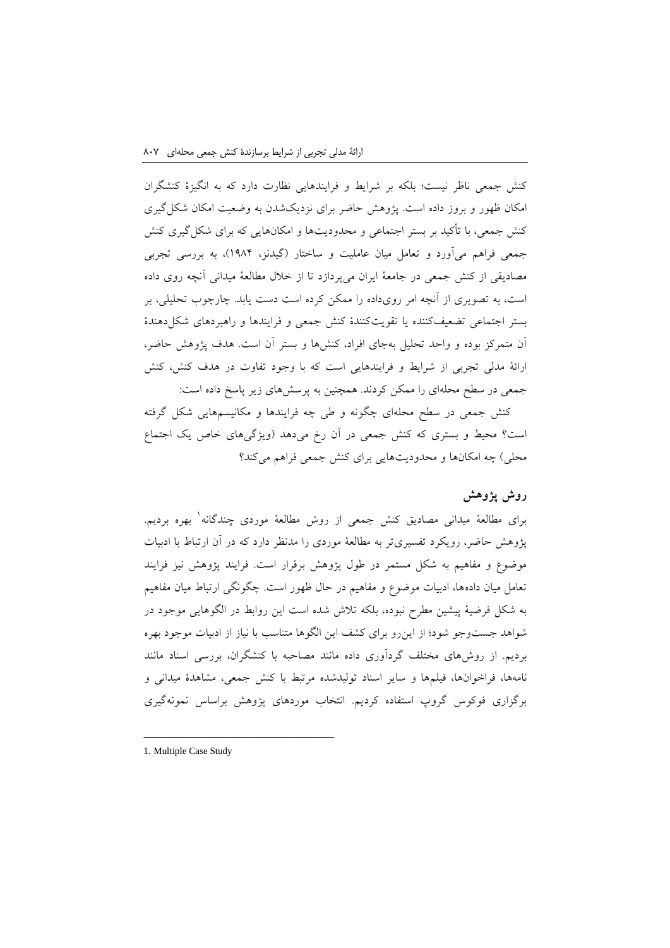کنش جمعی ناظر نیست؛ بلکه بر شرایط و فرایندهایی نظارت دارد که به انگیزة کنشگران امکان ظهور و بروز داده است. پژوهش حاضر برای نزدیکشدن به وضعیت امکان شکلگیری کنش جمعی، با تأکید بر بستر اجتماعی و محدودیتها و امکانهایی که برای شکلگیری کنش جمعی فراهم میآورد و تعامل میان عاملیت و ساختار )گیدنز، 1021(، به بررسی تجربی مصادیقی از کنش جمعی در جامعة ایران میپردازد تا از خالل مطالعة میدانی آنچه روی داده است، به تصویری از آنچه امر رویداده را ممکن کرده است دست یابد. چارچوب تحلیلی، بر بستر اجتماعی تضعیفکننده یا تقویتکنندة کنش جمعی و فرایندها و راهبردهای شکلدهندة آن متمرکز بوده و واحد تحلیل بهجای افراد، کنشها و بستر آن است. هدف پژوهش حاضر، ارائة مدلی تجربی از شرایط و فرایندهایی است که با وجود تفاوت در هدف کنش، کنش جمعی در سطح محلهای را ممکن کردند. همچنین به پرسشهای زیر پاسخ داده است:

کنش جمعی در سطح محلهای چگونه و طی چه فرایندها و مکانیسمهایی شکل گرفته است؟ محیط و بستری که کنش جمعی در آن رخ میدهد )ویژگیهای خاص یک اجتماع محلی) چه امکانها و محدودیتهایی برای کنش جمعی فراهم میکند؟

#### **روش پژوهش**

برای مطالعهٔ میدانی مصادیق کنش جمعی از روش مطالعهٔ موردی چندگانه<sup>۱</sup> بهره بردیم. پژوهش حاضر، رویکرد تفسیریتر به مطالعة موردی را مدنظر دارد که در آن ارتباط با ادبیات موضوع و مفاهیم به شکل مستمر در طول پژوهش برقرار است. فرایند پژوهش نیز فرایند تعامل میان دادهها، ادبیات موضوع و مفاهیم در حال ظهور است. چگونگی ارتباط میان مفاهیم به شکل فرضیة پیشین مطرح نبوده، بلکه تالش شده است این روابط در الگوهایی موجود در شواهد جستوجو شود؛ از اینرو برای کشف این الگوها متناسب با نیاز از ادبیات موجود بهره بردیم. از روشهای مختلف گردآوری داده مانند مصاحبه با کنشگران، بررسی اسناد مانند نامهها، فراخوانها، فیلمها و سایر اسناد تولیدشده مرتبط با کنش جمعی، مشاهدة میدانی و برگزاری فوکوس گروپ استفاده کردیم. انتخاب موردهای پژوهش براساس نمونهگیری

<sup>1.</sup> Multiple Case Study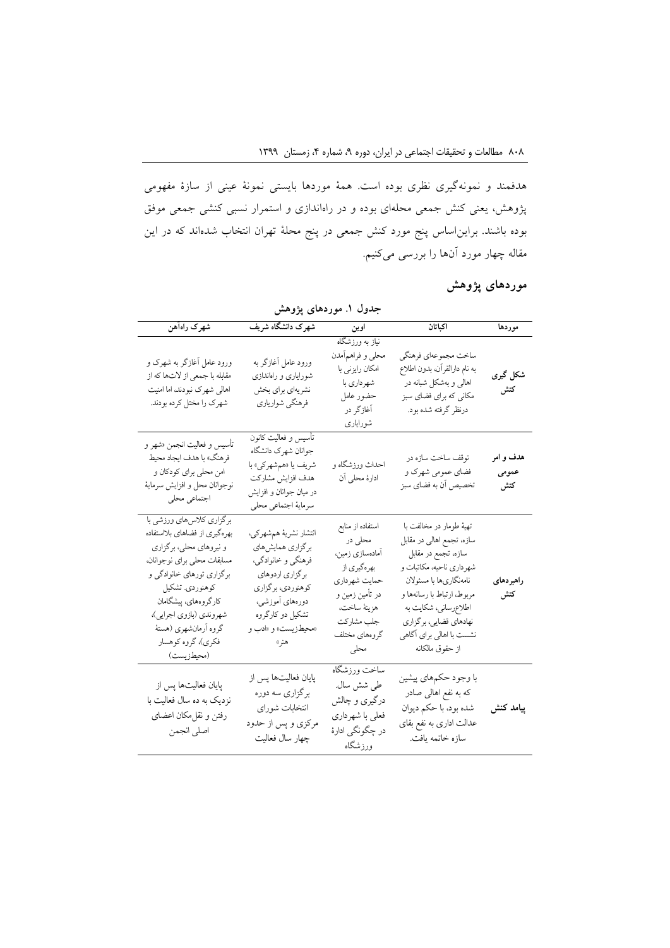هدفمند و نمونهگیری نظری بوده است. همة موردها بایستی نمونة عینی از سازة مفهومی پژوهش، یعنی کنش جمعی محلهای بوده و در راهاندازی و استمرار نسبی کنشی جمعی موفق بوده باشند. برایناساس پنج مورد کنش جمعی در پنج محلة تهران انتخاب شدهاند که در این مقاله چهار مورد آنها را بررسی میکنیم.

| جدول ۱. موردهای پژوهش                                                                                                                                                                                                                                                               |                                                                                                                                                                                |                                                                                                                                                          |                                                                                                                                                                                                                                                                    |                           |  |
|-------------------------------------------------------------------------------------------------------------------------------------------------------------------------------------------------------------------------------------------------------------------------------------|--------------------------------------------------------------------------------------------------------------------------------------------------------------------------------|----------------------------------------------------------------------------------------------------------------------------------------------------------|--------------------------------------------------------------------------------------------------------------------------------------------------------------------------------------------------------------------------------------------------------------------|---------------------------|--|
| شهرک راهآهن                                                                                                                                                                                                                                                                         | شهرک دانشگاه شریف                                                                                                                                                              | اوين                                                                                                                                                     | اكباتان                                                                                                                                                                                                                                                            | موردها                    |  |
| ورود عامل آغازگر به شهرک و<br>مقابله با جمعي از لاتها كه از<br>اهالی شهرک نبودند، اما امنیت<br>شهرک را مختل کرده بودند.                                                                                                                                                             | ورود عامل آغازگر به<br>شورایاری و راهاندازی<br>نشريهاي براي بخش<br>فرهنگي شوارياري                                                                                             | نیاز به ورزشگاه<br>محلي و فراهمأمدن<br>امکان رایزنی با<br>شهرداري با<br>حضور عامل<br>آغازگر در<br>شورايارى                                               | ساخت مجموعهاي فرهنگي<br>به نام دارالقرآن، بدون اطلاع<br>اهالی و بهشکل شبانه در<br>مکانی که برای فضای سبز<br>درنظر گرفته شده بود.                                                                                                                                   | شکل گیری<br>كنش           |  |
| تأسيس و فعاليت انجمن «شهر و<br>فرهنگ» با هدف ايجاد محيط<br>امن محلي براي كودكان و<br>نوجوانان محل و افزايش سرمايهٔ<br>اجتماعي محلي                                                                                                                                                  | تأسيس و فعاليت كانون<br>جوانان شهرك دانشگاه<br>شريف يا «همشهركي» با<br>هدف افزايش مشاركت<br>در میان جوانان و افزایش<br>سرمايهٔ اجتماعي محلي                                    | احداث ورزشگاه و<br>ادارۂ محلی اَن                                                                                                                        | توقف ساخت سازه در<br>فضاي عمومي شهرک و<br>تخصیص أن به فضاي سبز                                                                                                                                                                                                     | هدف و امر<br>عمومي<br>كنش |  |
| برگزاری کلاس های ورزشی با<br>بهرهگیری از فضاهای بلااستفاده<br>و نیروهای محلی، برگزاری<br>مسابقات محلي براي نوجوانان<br>برگزاري تورهاي خانوادگي و<br>كوهنوردي. تشكيل<br>كارگروههاي، پيشگامان<br>شهروندي (بازوي اجرايي)،<br>گروه آرمانشهری (هستهٔ<br>فكري)، گروه كوهسار<br>(محيطزيست) | انتشار نشريهٔ همشهركي،<br>برگزاري همايشهاي<br>فرهنگي و خانوادگي،<br>برگزاري اردوهاي<br>كوهنوردي، برگزاري<br>دورههای آموزشی،<br>تشکیل دو کارگروه<br>«محيطزيست» و «ادب و<br>هنر» | استفاده از منابع<br>محلي در<br>أمادەسازى زمين،<br>بهرهگیری از<br>حمايت شهرداري<br>در تأمین زمین و<br>هزينهٔ ساخت،<br>جلب مشاركت<br>گروههای مختلف<br>محلي | تهيهٔ طومار در مخالفت با<br>سازه، تجمع اهالی در مقابل<br>سازه، تجمع در مقابل<br>شهرداري ناحيه، مكاتبات و<br>نامەنگارىھا با مسئولان<br>مربوط، ارتباط با رسانهها و<br>اطلاع رساني، شكايت به<br>نهادهاي قضايي، برگزاري<br>نشست با اهالی برای آگاهی<br>از حقوق مالكانه | راهبردهاى<br>كنش          |  |
| پایان فعالیتها پس از<br>نزدیک به ده سال فعالیت با<br>رفتن و نقل.مکان اعضای<br>اصلى انجمن                                                                                                                                                                                            | پایان فعالیتها پس از<br>برگزاري سه دوره<br>انتخابات شوراي<br>مرکزي و پس از حدود<br>چهار سال فعالیت                                                                             | ساخت ورزشگاه<br>طي شش سال.<br>درگیری و چالش<br>فعلى با شهرداري<br>در چگونگ <sub>ی</sub> ادارهٔ<br>ورزشگاه                                                | با وجود حکمهای پیشین<br>که به نفع اهالی صادر<br>شده بود، با حکم دیوان<br>عدالت اداری به نفع بقای<br>سازه خاتمه يافت.                                                                                                                                               | پیامد کنش                 |  |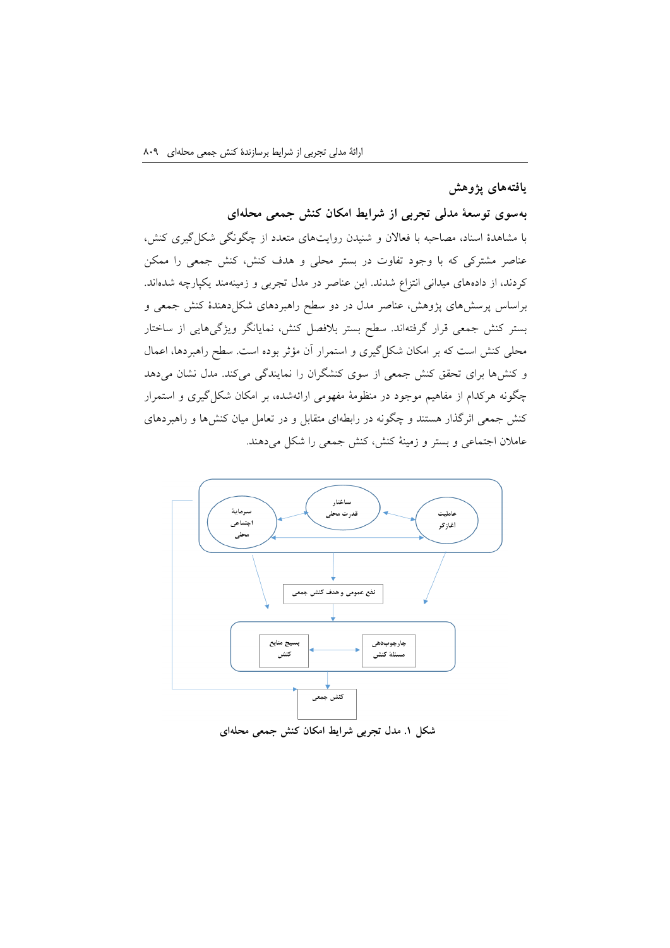## **یافتههای پژوهش**

#### **بهسوی توسعة مدلی تجربی از شرایط امکان کنش جمعی محلهای**

با مشاهدة اسناد، مصاحبه با فعاالن و شنیدن روایتهای متعدد از چگونگی شکلگیری کنش، عناصر مشترکی که با وجود تفاوت در بستر محلی و هدف کنش، کنش جمعی را ممکن کردند، از دادههای میدانی انتزاع شدند. این عناصر در مدل تجربی و زمینهمند یکپارچه شدهاند. براساس پرسشهای پژوهش، عناصر مدل در دو سطح راهبردهای شکلدهندة کنش جمعی و بستر کنش جمعی قرار گرفتهاند. سطح بستر بالفصل کنش، نمایانگر ویژگیهایی از ساختار محلی کنش است که بر امکان شکلگیری و استمرار آن مؤثر بوده است. سطح راهبردها، اعمال و کنشها برای تحقق کنش جمعی از سوی کنشگران را نمایندگی میکند. مدل نشان میدهد چگونه هرکدام از مفاهیم موجود در منظومة مفهومی ارائهشده، بر امکان شکلگیری و استمرار کنش جمعی اثرگذار هستند و چگونه در رابطهای متقابل و در تعامل میان کنشها و راهبردهای عامالن اجتماعی و بستر و زمینة کنش، کنش جمعی را شکل میدهند.



**شکل .1 مدل تجربی شرایط امکان کنش جمعی محلهای**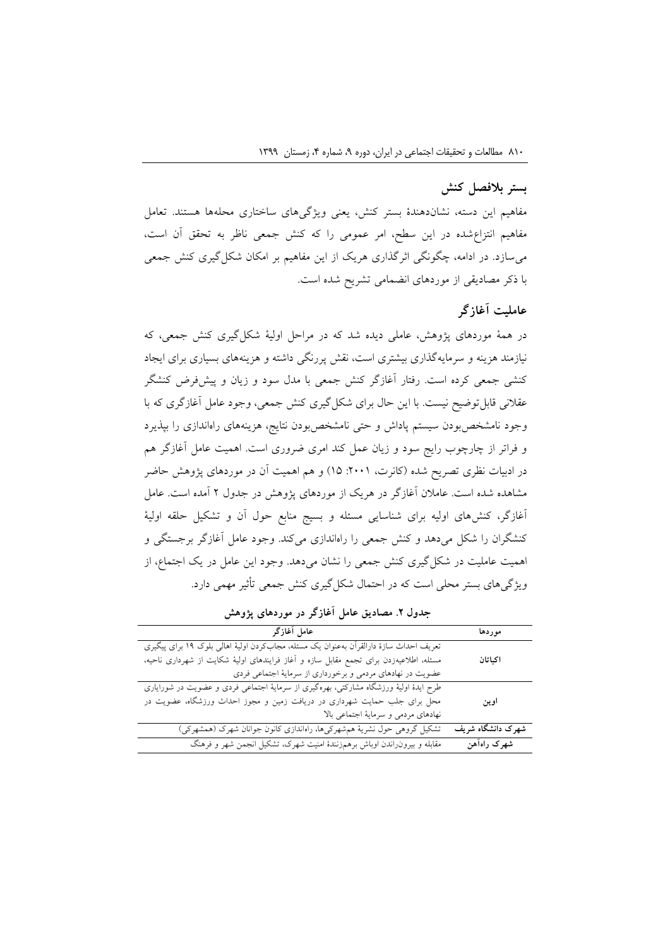## **بستر بالفصل کنش**

مفاهیم این دسته، نشاندهندة بستر کنش، یعنی ویژگیهای ساختاری محلهها هستند. تعامل مفاهیم انتزاعشده در این سطح، امر عمومی را که کنش جمعی ناظر به تحقق آن است، میسازد. در ادامه، چگونگی اثرگذاری هریک از این مفاهیم بر امکان شکلگیری کنش جمعی با ذکر مصادیقی از موردهای انضمامی تشریح شده است.

#### **عاملیت آغازگر**

در همة موردهای پژوهش، عاملی دیده شد که در مراحل اولیة شکلگیری کنش جمعی، که نیازمند هزینه و سرمایهگذاری بیشتری است، نقش پررنگی داشته و هزینههای بسیاری برای ایجاد کنشی جمعی کرده است. رفتار آغازگر کنش جمعی با مدل سود و زیان و پیشفرض کنشگر عقالنی قابلتوضیح نیست. با این حال برای شکلگیری کنش جمعی، وجود عامل آغازگری که با وجود نامشخصبودن سیستم پاداش و حتی نامشخصبودن نتایج، هزینههای راهاندازی را بپذیرد و فراتر از چارچوب رایج سود و زیان عمل کند امری ضروری است. اهمیت عامل آغازگر هم در ادبیات نظری تصریح شده (کانرت، ۲۰۰۱: ۱۵) و هم اهمیت آن در موردهای پژوهش حاضر مشاهده شده است. عامالن آغازگر در هریک از موردهای پژوهش در جدول 0 آمده است. عامل آغازگر، کنشهای اولیه برای شناسایی مسئله و بسیج منابع حول آن و تشکیل حلقه اولیة کنشگران را شکل میدهد و کنش جمعی را راهاندازی میکند. وجود عامل آغازگر برجستگی و اهمیت عاملیت در شکلگیری کنش جمعی را نشان میدهد. وجود این عامل در یک اجتماع، از ویژگیهای بستر محلی است که در احتمال شکلگیری کنش جمعی تأثیر مهمی دارد.

| عامل آغازگر                                                                             | موردها            |
|-----------------------------------------------------------------------------------------|-------------------|
| تعریف احداث سازهٔ دارالقرآن بهعنوان یک مسئله، مجابکردن اولیهٔ اهالی بلوک ۱۹ برای پیگیری |                   |
| مسئله، اطلاعیهزدن برای تجمع مقابل سازه و آغاز فرایندهای اولیهٔ شکایت از شهرداری ناحیه،  | اكباتان           |
| عضویت در نهادهای مردمی و برخورداری از سرمایهٔ اجتماعی فردی                              |                   |
| طرح ایدهٔ اولیهٔ ورزشگاه مشارکتی، بهرهگیری از سرمایهٔ اجتماعی فردی و عضویت در شورایاری  |                   |
| محل برای جلب حمایت شهرداری در دریافت زمین و مجوز احداث ورزشگاه، عضویت در                | اوين              |
| نهادهای مردمی و سرمایهٔ اجتماعی بالا                                                    |                   |
| تشکیل گروهی حول نشریهٔ همشهرکیها، راهاندازی کانون جوانان شهرک (همشهرکی)                 | شهرک دانشگاه شریف |
| مقابله و بیرون راندن اوباش برهمزنندهٔ امنیت شهرک، تشکیل انجمن شهر و فرهنگ               | شهرک راهآهن       |

**جدول .2 مصادیق عامل آغازگر در موردهای پژوهش**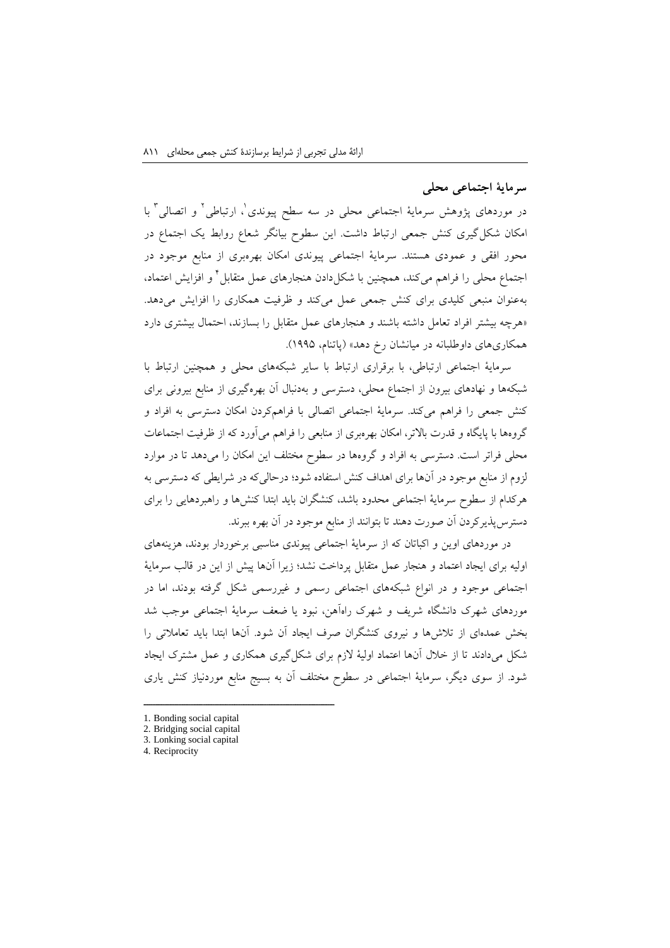# **سرمایة اجتماعی محلی**

در موردهای پژوهش سرمایهٔ اجتماعی محلی در سه سطح پیوندی'، ارتباطی' و اتصالی' با امکان شکلگیری کنش جمعی ارتباط داشت. این سطوح بیانگر شعاع روابط یک اجتماع در محور افقی و عمودی هستند. سرمایة اجتماعی پیوندی امکان بهرهبری از منابع موجود در جتماع محلی را فراهم میکند، همچنین با شکل۱ددن هنجارهای عمل متقابل ٔ و افزایش اعتماد، بهعنوان منبعی کلیدی برای کنش جمعی عمل میکند و ظرفیت همکاری را افزایش میدهد. »هرچه بیشتر افراد تعامل داشته باشند و هنجارهای عمل متقابل را بسازند، احتمال بیشتری دارد همکاریهای داوطلبانه در میانشان رخ دهد« )پاتنام، 1002(.

سرمایة اجتماعی ارتباطی، با برقراری ارتباط با سایر شبکههای محلی و همچنین ارتباط با شبکهها و نهادهای بیرون از اجتماع محلی، دسترسی و بهدنبال آن بهرهگیری از منابع بیرونی برای کنش جمعی را فراهم میکند. سرمایة اجتماعی اتصالی با فراهمکردن امکان دسترسی به افراد و گروهها با پایگاه و قدرت باالتر، امکان بهرهبری از منابعی را فراهم میآورد که از ظرفیت اجتماعات محلی فراتر است. دسترسی به افراد و گروهها در سطوح مختلف این امکان را میدهد تا در موارد لزوم از منابع موجود در آنها برای اهداف کنش استفاده شود؛ درحالیکه در شرایطی که دسترسی به هرکدام از سطوح سرمایة اجتماعی محدود باشد، کنشگران باید ابتدا کنشها و راهبردهایی را برای دسترسپذیرکردن آن صورت دهند تا بتوانند از منابع موجود در آن بهره ببرند.

در موردهای اوین و اکباتان که از سرمایة اجتماعی پیوندی مناسبی برخوردار بودند، هزینههای اولیه برای ایجاد اعتماد و هنجار عمل متقابل پرداخت نشد؛ زیرا آنها پیش از این در قالب سرمایة اجتماعی موجود و در انواع شبکههای اجتماعی رسمی و غیررسمی شکل گرفته بودند، اما در موردهای شهرک دانشگاه شریف و شهرک راهآهن، نبود یا ضعف سرمایة اجتماعی موجب شد بخش عمدهای از تالشها و نیروی کنشگران صرف ایجاد آن شود. آنها ابتدا باید تعامالتی را شکل میدادند تا از خالل آنها اعتماد اولیة الزم برای شکلگیری همکاری و عمل مشترک ایجاد شود. از سوی دیگر، سرمایة اجتماعی در سطوح مختلف آن به بسیج منابع موردنیاز کنش یاری

<sup>1.</sup> Bonding social capital

<sup>2.</sup> Bridging social capital

<sup>3.</sup> Lonking social capital

<sup>4.</sup> Reciprocity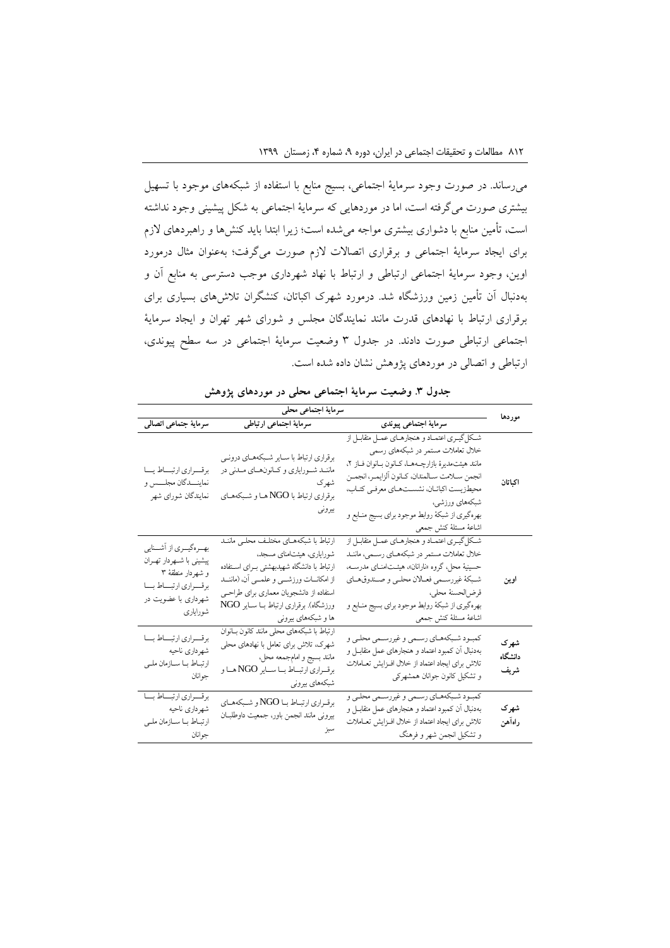میرساند. در صورت وجود سرمایة اجتماعی، بسیج منابع با استفاده از شبکههای موجود با تسهیل بیشتری صورت میگرفته است، اما در موردهایی که سرمایة اجتماعی به شکل پیشینی وجود نداشته است، تأمین منابع با دشواری بیشتری مواجه میشده است؛ زیرا ابتدا باید کنشها و راهبردهای الزم برای ایجاد سرمایة اجتماعی و برقراری اتصاالت الزم صورت میگرفت؛ بهعنوان مثال درمورد اوین، وجود سرمایة اجتماعی ارتباطی و ارتباط با نهاد شهرداری موجب دسترسی به منابع آن و بهدنبال آن تأمین زمین ورزشگاه شد. درمورد شهرک اکباتان، کنشگران تالشهای بسیاری برای برقراری ارتباط با نهادهای قدرت مانند نمایندگان مجلس و شورای شهر تهران و ایجاد سرمایة اجتماعی ارتباطی صورت دادند. در جدول 3 وضعیت سرمایة اجتماعی در سه سطح پیوندی، ارتباطی و اتصالی در موردهای پژوهش نشان داده شده است.

| جدول ۳. وضعیت سرمایهٔ اجتماعی محلی در موردهای پژوهش |  |
|-----------------------------------------------------|--|
|-----------------------------------------------------|--|

| سرماية اجتماعي محلى                                                                                                                    |                                                                                                                                                                                                                                                                                       |                                                                                                                                                                                                                                                                                                                                           |                         |  |
|----------------------------------------------------------------------------------------------------------------------------------------|---------------------------------------------------------------------------------------------------------------------------------------------------------------------------------------------------------------------------------------------------------------------------------------|-------------------------------------------------------------------------------------------------------------------------------------------------------------------------------------------------------------------------------------------------------------------------------------------------------------------------------------------|-------------------------|--|
| سرماية جتماعي اتصالى                                                                                                                   | سرماية اجتماعي ارتباطي                                                                                                                                                                                                                                                                | سرمايه اجتماعي پيوندي                                                                                                                                                                                                                                                                                                                     | موردها                  |  |
| برقسراري ارتبساط يسا<br>نماينـــدگان مجلـــس و<br>نمايندگان شوراي شهر                                                                  | برقراري ارتباط با سـاير شـبكههـاي درونـي<br>ماننـد شـوراياري و كـانونهــاي مـدني در<br>شهرک<br>برقراري ارتباط با NGO هـا و شـبكههـاي<br>بيروني                                                                                                                                        | شکل گیری اعتمـاد و هنجارهـای عمـل متقابـل از<br>خلال تعاملات مستمر در شبکههای رسمی<br>مانند هيئتمديرة بازارچـههـا، كـانون بـانوان فــاز ٢،<br>انجمن سلامت سـالمندان، كـانون الزايمـر، انجمـن<br>محيطزيست اكباتـان، نشســتهـاي معرفـي كتـاب،<br>شبکههای ورزشی،<br>بهرهگیری از شبکهٔ روابط موجود برای بسیج منـابع و<br>اشاعة مسئلة كنش جمعى | اكىاتان                 |  |
| بهــرهگیــري از اَشـــنايي<br>پیشینی با شمهردار تهـران<br>و شهردار منطقهٔ ۳<br>برقسراري ارتبساط بسا<br>شهرداری با عضویت در<br>شورايارى | ارتباط با شبکههـای مختلـف محلـی ماننـد<br>شورایاری، هیئتامنای مسجد،<br>ارتباط با دانشگاه شهیدبهشتی بــرای اســتفاده<br>از امکانـــات ورزشــــی و علمــــی آن، (ماننـــد<br>استفاده از دانشجویان معماری برای طراحــی<br>ورزشگاه). برقراري ارتباط بـا ســاير NGO<br>ها و شبکههای بیرونی | شکلگیری اعتمـاد و هنجارهـای عمـل متقابـل از<br>خلال تعاملات مستمر در شبکههـاي رسـمي، ماننـد<br>حسینیهٔ محل، گروه «نارانان»، هیئـتامنــای مدرســه،<br>شبكة غيررسمي فعـالان محلـي و صـندوقهـاي<br>قرض لحسنة محلي،<br>بهرهگیری از شبکهٔ روابط موجود برای بسیج منـابع و<br>اشاعة مسئلة كنش جمعى                                               | اوين                    |  |
| برقسراري ارتبساط بسا<br>شهرداري ناحيه<br>ارتباط با سازمان ملمى<br>جو انان                                                              | ارتباط با شبکههای محلی مانند کانون بــانوان<br>شهرک، تلاش برای تعامل با نهادهای محلی<br>مانند بسيج و امامجمعه محل،<br>برقــراري ارتبــاط بــا ســـاير NGO هــا و<br>شبکههای بیرونی                                                                                                    | كمبـود شـبكههـاي رسـمي و غيررسـمي محلـي و<br>بهدنبال أن كمبود اعتماد و هنجارهای عمل متقابــل و<br>تلاش براي ايجاد اعتماد از خلال افـزايش تعـاملات<br>و تشکیل کانون جوانان همشهرکی                                                                                                                                                         | شهرک<br>دانشگاه<br>شريف |  |
| برقسراري ارتبساط بسا<br>شهرداري ناحيه<br>ارتبـاط بــا ســازمان ملــى<br>جو انان                                                        | برقـراري ارتبـاط بـا NGO و شـبكههـاي<br>بيروني مانند انجمن باور، جمعيت داوطلبــان                                                                                                                                                                                                     | كمبـود شـبكههـاي رسـمي و غيررسـمي محلـي و<br>بهدنبال أن كمبود اعتماد و هنجارهای عمل متقابــل و<br>تلاش براي ايجاد اعتماد از خلال افـزايش تعـاملات<br>و تشکیل انجمن شهر و فرهنگ                                                                                                                                                            | شهرک<br>راهآهن          |  |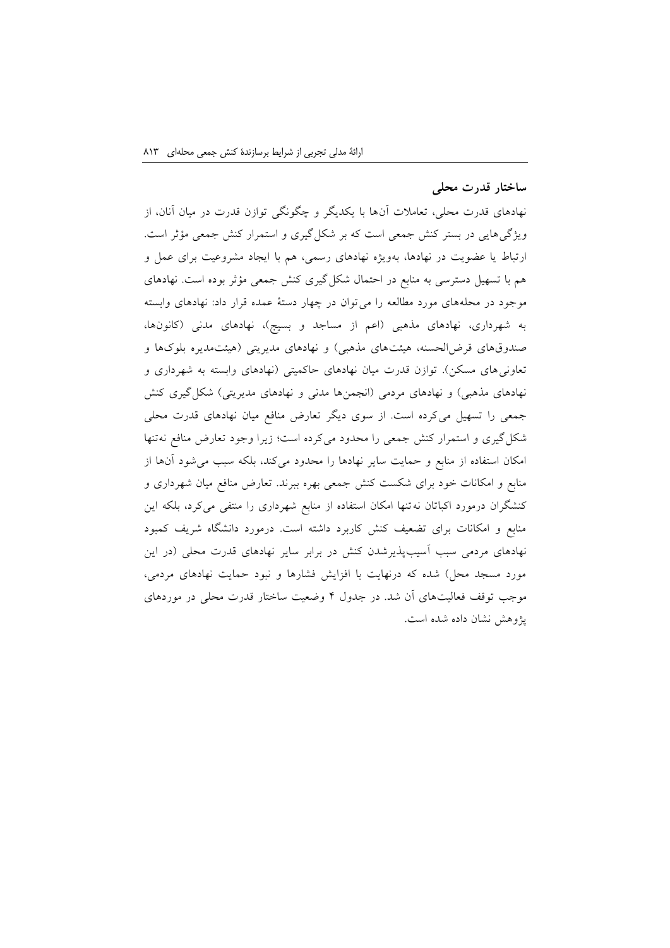## **ساختار قدرت محلی**

نهادهای قدرت محلی، تعامالت آنها با یکدیگر و چگونگی توازن قدرت در میان آنان، از ویژگیهایی در بستر کنش جمعی است که بر شکلگیری و استمرار کنش جمعی مؤثر است. ارتباط یا عضویت در نهادها، بهویژه نهادهای رسمی، هم با ایجاد مشروعیت برای عمل و هم با تسهیل دسترسی به منابع در احتمال شکلگیری کنش جمعی مؤثر بوده است. نهادهای موجود در محلههای مورد مطالعه را میتوان در چهار دستة عمده قرار داد: نهادهای وابسته به شهرداری، نهادهای مذهبی )اعم از مساجد و بسیج(، نهادهای مدنی )کانونها، صندوقهای قرضالحسنه، هیئتهای مذهبی) و نهادهای مدیریتی (هیئتمدیره بلوکها و تعاونی های مسکن). توازن قدرت میان نهادهای حاکمیتی (نهادهای وابسته به شهرداری و نهادهای مذهبی) و نهادهای مردمی (انجمنها مدنی و نهادهای مدیریتی) شکل گیری کنش جمعی را تسهیل میکرده است. از سوی دیگر تعارض منافع میان نهادهای قدرت محلی شکلگیری و استمرار کنش جمعی را محدود میکرده است؛ زیرا وجود تعارض منافع نهتنها امکان استفاده از منابع و حمایت سایر نهادها را محدود میکند، بلکه سبب میشود آنها از منابع و امکانات خود برای شکست کنش جمعی بهره ببرند. تعارض منافع میان شهرداری و کنشگران درمورد اکباتان نهتنها امکان استفاده از منابع شهرداری را منتفی میکرد، بلکه این منابع و امکانات برای تضعیف کنش کاربرد داشته است. درمورد دانشگاه شریف کمبود نهادهای مردمی سبب آسیبپذیرشدن کنش در برابر سایر نهادهای قدرت محلی )در این مورد مسجد محل) شده که درنهایت با افزایش فشارها و نبود حمایت نهادهای مردمی، موجب توقف فعالیتهای آن شد. در جدول 1 وضعیت ساختار قدرت محلی در موردهای پژوهش نشان داده شده است.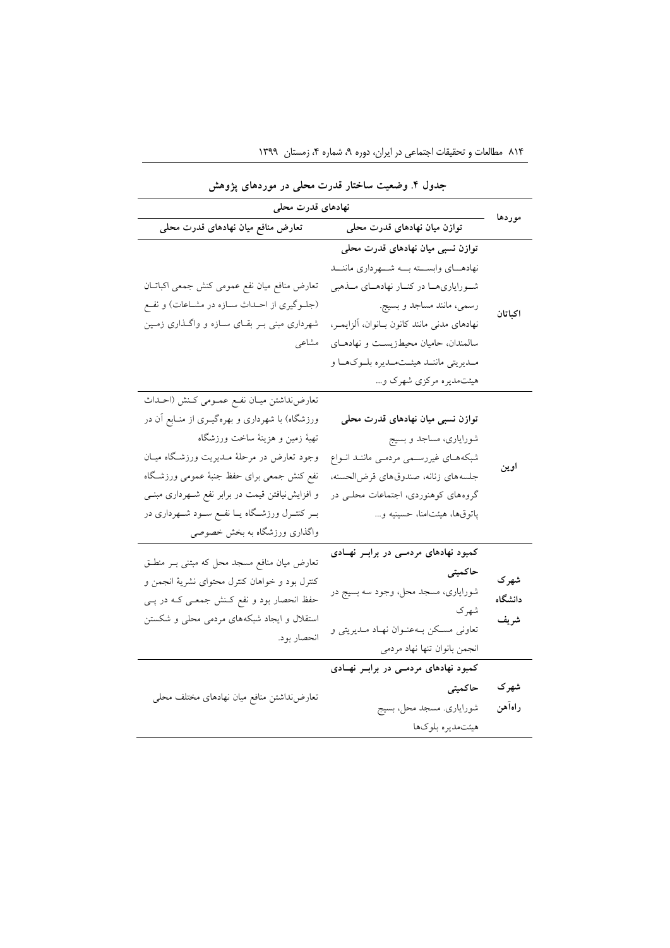| جدون ۰. وصنعیت ساختار تدرب سخنی در موردسای پروس<br>نهادهای قدرت محلی |                                             |                                                      |  |  |
|----------------------------------------------------------------------|---------------------------------------------|------------------------------------------------------|--|--|
| موردها                                                               | توازن میان نهادهای قدرت محلی                | تعارض منافع میان نهادهای قدرت محلی                   |  |  |
|                                                                      | توازن نسبی میان نهادهای قدرت محلی           |                                                      |  |  |
|                                                                      | نهادهـاى وابســته بــه شـــهردارى ماننــد   |                                                      |  |  |
|                                                                      | شورایاری ها در کنار نهادهای ملذهبی          | تعارض منافع ميان نفع عمومي كنش جمعي اكباتـان         |  |  |
| اكباتان                                                              | رسمي، مانند مساجد و بسيج.                   | (جلـوگیری از احــداث ســازه در مشــاعات) و نفــع     |  |  |
|                                                                      | نهادهاى مدنى مانند كانون بانوان، آلزايمر،   | شهرداری مبنی بـر بقـای ســازه و واگــذاری زمــین     |  |  |
|                                                                      | سالمندان، حامیان محیطزیست و نهادهای         | مشاعى                                                |  |  |
|                                                                      | مـديريتي ماننــد هيئــتمــديره بلــوكهــا و |                                                      |  |  |
|                                                                      | هیئتمدیره مرکزی شهرک و                      |                                                      |  |  |
|                                                                      |                                             | تعارضنداشتن ميـان نفـع عمــومى كــنش (احــداث        |  |  |
|                                                                      | توازن نسبی میان نهادهای قدرت محلی           | ورزشگاه) با شهرداری و بهرهگیــری از منــابع آن در    |  |  |
|                                                                      | شورایاری، مساجد و بسیج                      | تهيهٔ زمين و هزينهٔ ساخت ورزشگاه                     |  |  |
|                                                                      | شبکههای غیررسمی مردمی ماننـد انـواع         | وجود تعارض در مرحلهٔ مـدیریت ورزشـگاه میــان         |  |  |
| اوين                                                                 | جلسه هاى زنانه، صندوق هاى قرض الحسنه،       | نفع كنش جمعى براى حفظ جنبهٔ عمومى ورزشگاه            |  |  |
|                                                                      | گروههای کوهنوردی، اجتماعات محلـی در         | و افزایش نیافتن قیمت در برابر نفع شـهرداری مبنـی     |  |  |
|                                                                      | پاتوقها، هیئتامنا، حسینیه و                 | بــر کنتــرل ورزشــگاه يــا نفــع ســود شــهرداری در |  |  |
|                                                                      |                                             | واگذاری ورزشگاه به بخش خصوصی                         |  |  |
|                                                                      | کمبود نهادهای مردمـی در برابـر نهـادی       | تعارض میان منافع مسجد محل که مبتنی بـر منطـق         |  |  |
| شهر ک                                                                | حاكميتي                                     | کنترل بود و خواهان کنترل محتوای نشریهٔ انجمن و       |  |  |
| دانشگاه                                                              | شورایاری، مسجد محل، وجود سه بسیج در         | حفظ انحصار بود و نفع کـنش جمعـی کـه در پــی          |  |  |
|                                                                      | شهرك                                        | استقلال و ایجاد شبکههای مردمی محلی و شکستن           |  |  |
| شريف                                                                 | تعاونی مسکن بـهعنـوان نهـاد مـديريتی و      | انحصار بود.                                          |  |  |
|                                                                      | انجمن بانوان تنها نهاد مردمى                |                                                      |  |  |
|                                                                      | کمبود نهادهای مردمـی در برابـر نهـادی       |                                                      |  |  |
| شهرک                                                                 | حاكميتي                                     |                                                      |  |  |
| راهآهن                                                               | شوراياري. مسجد محل، بسيج                    | تعارض نداشتن منافع ميان نهادهاى مختلف محلى           |  |  |
|                                                                      | هيئتمديره بلوكها                            |                                                      |  |  |
|                                                                      |                                             |                                                      |  |  |

**جدول .4 وضعیت ساختار قدرت محلی در موردهای پژوهش**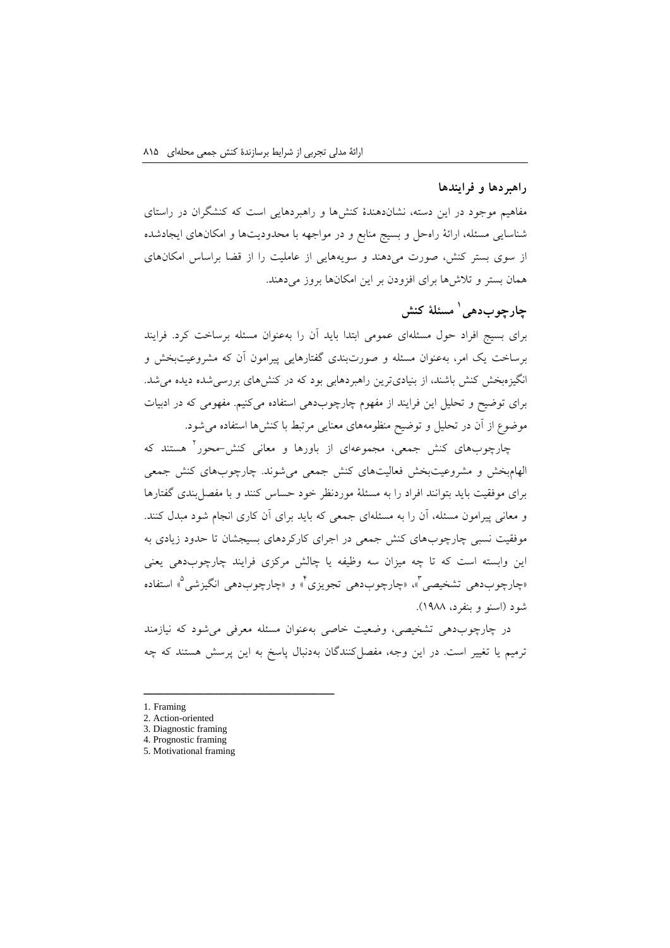#### **راهبردها و فرایندها**

مفاهیم موجود در این دسته، نشاندهندة کنشها و راهبردهایی است که کنشگران در راستای شناسایی مسئله، ارائة راهحل و بسیج منابع و در مواجهه با محدودیتها و امکانهای ایجادشده از سوی بستر کنش، صورت میدهند و سویههایی از عاملیت را از قضا براساس امکانهای همان بستر و تالشها برای افزودن بر این امکانها بروز میدهند.

# **1 مسئلة کنش چارچوبدهی**

برای بسیج افراد حول مسئلهای عمومی ابتدا باید آن را بهعنوان مسئله برساخت کرد. فرایند برساخت یک امر، بهعنوان مسئله و صورتبندی گفتارهایی پیرامون آن که مشروعیتبخش و انگیزهبخش کنش باشند، از بنیادیترین راهبردهابی بود که در کنشهای بررسیشده دیده میشد. برای توضیح و تحلیل این فرایند از مفهوم چارچوبدهی استفاده میکنیم. مفهومی که در ادبیات موضوع از آن در تحلیل و توضیح منظومههای معنایی مرتبط با کنشها استفاده میشود.

0 چارچوبهای کنش جمعی، مجموعهای از باورها و معانی کنش-محور هستند که الهامبخش و مشروعیتبخش فعالیتهای کنش جمعی میشوند. چارچوبهای کنش جمعی برای موفقیت باید بتوانند افراد را به مسئلة موردنظر خود حساس کنند و با مفصلبندی گفتارها و معانی پیرامون مسئله، آن را به مسئلهای جمعی که باید برای آن کاری انجام شود مبدل کنند. موفقیت نسبی چارچوبهای کنش جمعی در اجرای کارکردهای بسیجشان تا حدود زیادی به این وابسته است که تا چه میزان سه وظیفه یا چالش مرکزی فرایند چارچوبدهی یعنی <sub>ا</sub>چارچوبدهی تشخیصی آ» «چارچوبدهی تجویزی<sup>۲</sup>» و «چارچوبدهی انگیزشی<sup>۵</sup>» استفاده شود )اسنو و بنفرد، 1022(.

در چارچوبدهی تشخیصی، وضعیت خاصی بهعنوان مسئله معرفی میشود که نیازمند ترمیم یا تغییر است. در این وجه، مفصلکنندگان بهدنبال پاسخ به این پرسش هستند که چه

- 1. Framing
- 2. Action-oriented
- 3. Diagnostic framing 4. Prognostic framing
- 5. Motivational framing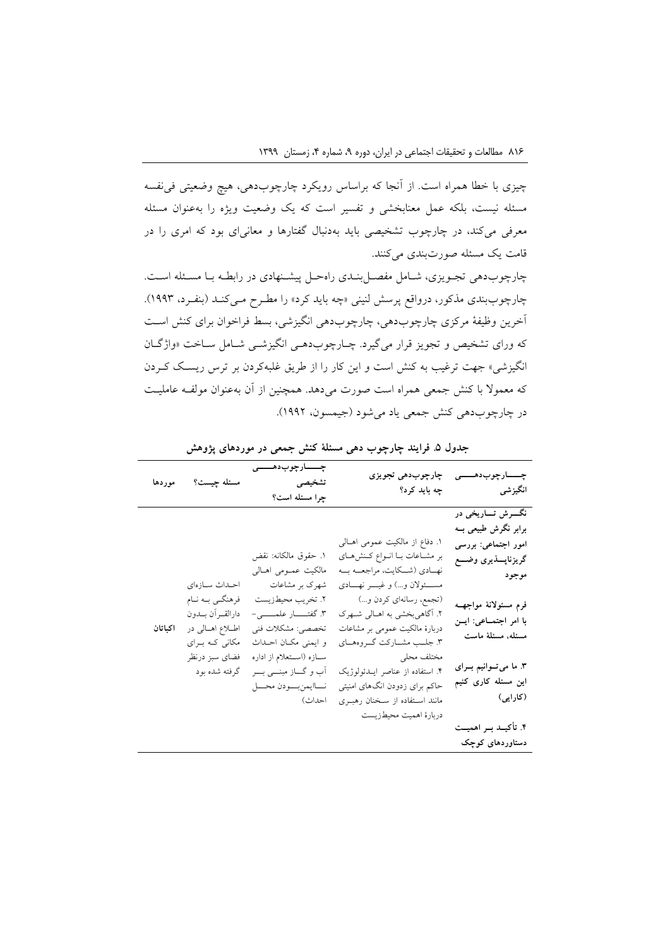چیزی با خطا همراه است. از آنجا که براساس رویکرد چارچوبدهی، هیچ وضعیتی فینفسه مسئله نیست، بلکه عمل معنابخشی و تفسیر است که یک وضعیت ویژه را بهعنوان مسئله معرفی میکند، در چارچوب تشخیصی باید بهدنبال گفتارها و معانیای بود که امری را در قامت یک مسئله صورتبندی میکنند.

چارچوبدهی تجنویزی، شنامل مفصنل بنندی راه حنل پیشننهادی در ر ابطنه بنا مسنئله اسنت. چارچوببندی مذکور، درواقع پرسش لنینی »چه باید کرد« را مطنرح منی کنند )بنفنرد، 1003(. آخرین وظیفة مرکزی چارچوبدهی، چارچوبدهی انگیزشی، بسط فراخوان برای کنش اسنت که ورای تشخیص و تجویز قرار میگیرد. چنارچوب دهنی انگیزشنی شنامل سناخت »واژگنان انگیزشی« جهت ترغیب به کنش است و این کار را از طریق غلبهکردن بر ترس ریسنک کنردن که معموال با کنش جمعی همراه است صورت میدهد. همچنین از آن بهعنوان مولفنه عاملینت در چارچوبدهی کنش جمعی یاد میشود )جیمسون، 1000(.

|         | مسئله چیست؟ موردها                                                          | چـــــارچوبدھــــــ <i>ی</i><br>تشخيصى<br>چرا مسئله است؟                                | چارچوبدھی تجویزی                                                                                                                             | چـــــارچوب:دھــــــ <i>ی</i><br>انگیزشی                                   چه باید کرد؟                   |
|---------|-----------------------------------------------------------------------------|-----------------------------------------------------------------------------------------|----------------------------------------------------------------------------------------------------------------------------------------------|-----------------------------------------------------------------------------------------------------------|
|         | احداث سازهاى                                                                | ١. حقوق مالكانه: نقض<br>مالكيت عمــومى اهــالى<br>شهرک بر مشاعات                        | ۱. دفاع از مالکیت عمومی اهــالی<br>بر مشـاعات بـا انـواع كـنش(هـاي<br>نهـادي (شــكايت، مراجعــه بــه<br>مســــئولان و…) و غيـــــر نهــــادي | نگـــرش تــــاريخي در<br>برابر نگرش طبیعی بــه<br>امور اجتماعی: بررسی<br>گريزناپــــذيري وضــــع<br>موجود |
| اكباتان | فرهنگـي بــه نــام<br>دارالقــرأن بــدون<br>اطلاع اهالی در<br>مکانی که برای | ٢. تخريب محيطزيست<br>تخصصي: مشكلات فني<br>و ایمنی مکان احـداث                           | (تجمع، رسانهاي كردن و)<br>۲. آگاهی بخشی به اهــالی شــهرک<br>دربارهٔ مالکیت عمومی بر مشاعات<br>۳. جلــب مشـــاركت گـــروههــاي               | فرم مسئولانة مواجهــه<br>با امر اجتماعی: ایسن<br>مسئله، مسئلة ماست                                        |
|         | فضاى سبز درنظر<br>گرفته شده بود                                             | ســازه (اســتعلام از اداره<br>آب و گـــاز مبنـــي بـــر<br>نساايمن بسودن محسل<br>احداث) | مختلف محلي<br>۴. استفاده از عناصر ایـدئولوژیک<br>حاکم برای زدودن انگهای امنیتی<br>مانند استفاده از سخنان رهبـری                              | ۳. ما می تــوانیم بــرای<br>این مسئله کاری کنیم<br>(کارایی)                                               |
|         |                                                                             |                                                                                         | دربارة اهميت محيطزيست                                                                                                                        | ۴. تأکیــد بــر اهمیــت<br>دستاوردهای کوچک                                                                |

**جدول .5 فرایند چارچوب دهی مسئلة کنش جمعی در موردهای پژوهش**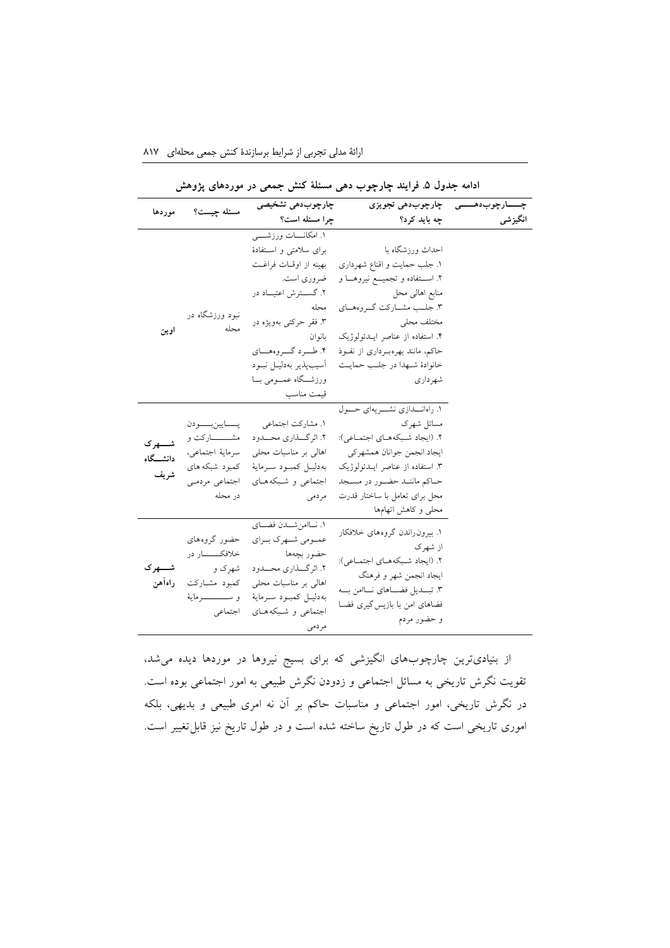|                                                                           | چارچوبدھی تشحیصی                                                                                                                                                                                                              |                                                                                                                                                                                                                                                               | چـــــارچوبدهــــــی ۔ چارچوبدهی تجویزی                                               |
|---------------------------------------------------------------------------|-------------------------------------------------------------------------------------------------------------------------------------------------------------------------------------------------------------------------------|---------------------------------------------------------------------------------------------------------------------------------------------------------------------------------------------------------------------------------------------------------------|---------------------------------------------------------------------------------------|
|                                                                           |                                                                                                                                                                                                                               | چه باید کرد؟                                                                                                                                                                                                                                                  | انگیزشی                                                                               |
| نبود ورزشگاه در<br>محله                                                   | ۱. امکانـــات ورزشـــــی<br>برای سلامتی و استفادهٔ<br>بهينه از اوقـات فراغـت<br>ضروري است.<br>۲. گســـترش اعتيـــاد در<br>محله<br>۳. فقر حرکتبی بهویژه در<br>بانو ان<br>۴. طـــرد گــــروههــــاي<br>أسيب يذير بهدليـل نبــود | احداث ورزشگاه با<br>١. جلب حمايت و اقناع شهرداري<br>۲. استفاده و تجمیع نیروهـا و<br>منابع اهالبي محل<br>۳. جلــب مشـــاركت گـــروههــاي<br>مختلف محلي<br>۴. استفاده از عناصر ایـدئولوژیک<br>حاکم، مانند بهرهبورداری از نفـوذ<br>خانوادهٔ شـهدا در جلـب حمايـت |                                                                                       |
|                                                                           | قيمت مناسب                                                                                                                                                                                                                    | شهر داری                                                                                                                                                                                                                                                      |                                                                                       |
| بسسايين بسسودن<br>مشـــــــــارکت و<br>سرمايهٔ اجتماعي،                   | ۱. مشارکت اجتماعی<br>٢. اثر گـــذاري محــــدود<br>اهالی بر مناسبات محلی                                                                                                                                                       | مسائل شهرک<br>٢. (ايجاد شبكههاى اجتماعى):<br>ايجاد انجمن جوانان همشهركي                                                                                                                                                                                       |                                                                                       |
| اجتماعي مردمى<br>در محله                                                  | اجتماعی و شبکه هــای<br>مر دمی                                                                                                                                                                                                | حماكم ماننمد حضمور در مسجد<br>محل برای تعامل با ساختار قدرت<br>محلبي و كاهش اتهامها                                                                                                                                                                           |                                                                                       |
| حضور گروههای<br>خلافكــــــــار در<br>شھرک و<br>كمبود مشــاركت<br>اجتماعي | عمـومی شـهرک بـرای<br>حضور بچەها<br>٢. اثر گـــذارى محــــدود<br>اهالی بر مناسبات محلی<br>بهدليـل كمبـود سـرماية<br>اجتماعی و شبکه های                                                                                        | ۱. بیرون راندن گروههای خلافکار<br>از شهر ک<br>٢. (ايجاد شبكههاى اجتماعى):<br>ايجاد انجمن شهر و فرهنگ<br>٣. تبسديل فضـاهاي نـاامن بــه<br>فضاهای امن با بازپس گیری فضـا<br>و حضور مردم                                                                         |                                                                                       |
|                                                                           | مسئله چیست؟<br>کمبود شبکه های                                                                                                                                                                                                 | ورزشــگاه عمــومى بــا<br>به دليـل كمبـود سـرماية<br>١. نـاامن شــدن فضــاى<br>مردمى                                                                                                                                                                          | جرا مسئله است؟<br>١. راهانــدازي نشـــريهاي حـــول<br>۳. استفاده از عناصر ایلدئولوژیک |

**ادامه جدول .5 فرایند چارچوب دهی مسئلة کنش جمعی در موردهای پژوهش**

از بنیادیترین چارچوبهای انگیزشی که برای بسیج نیروها در موردها دیده میشد، تقویت نگرش تاریخی به مسائل اجتماعی و زدودن نگرش طبیعی به امور اجتماعی بوده است. در نگرش تاریخی، امور اجتماعی و مناسبات حاکم بر آن نه امری طبیعی و بدیهی، بلکه اموری تاریخی است که در طول تاریخ ساخته شده است و در طول تاریخ نیز قابلتغییر است.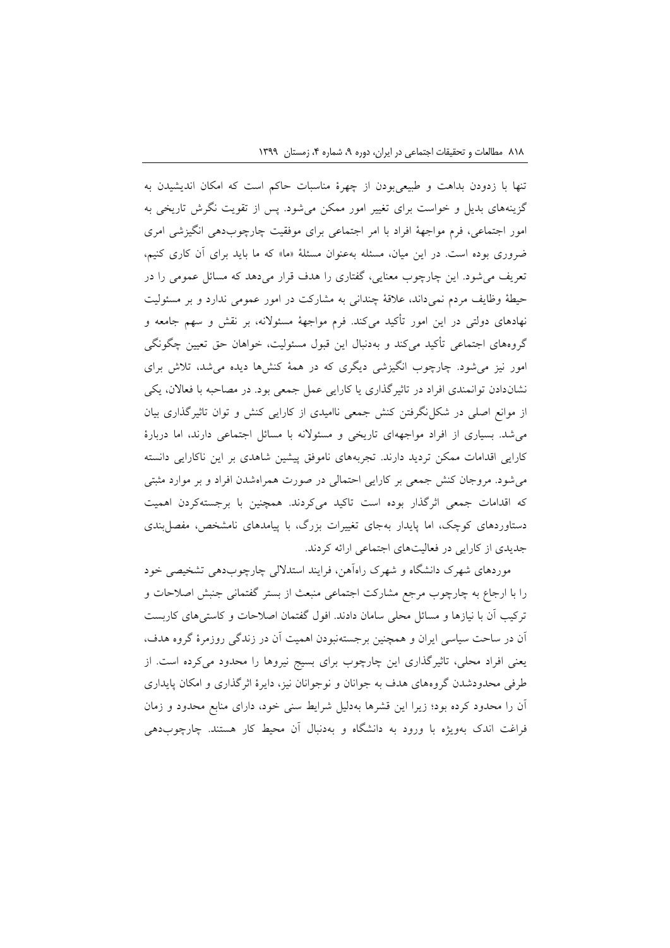تنها با زدودن بداهت و طبیعیبودن از چهرة مناسبات حاکم است که امکان اندیشیدن به گزینههای بدیل و خواست برای تغییر امور ممکن میشود. پس از تقویت نگرش تاریخی به امور اجتماعی، فرم مواجهة افراد با امر اجتماعی برای موفقیت چارچوبدهی انگیزشی امری ضروری بوده است. در این میان، مسئله بهعنوان مسئلة »ما« که ما باید برای آن کاری کنیم، تعریف میشود. این چارچوب معنایی، گفتاری را هدف قرار میدهد که مسائل عمومی را در حیطة وظایف مردم نمیداند، عالقة چندانی به مشارکت در امور عمومی ندارد و بر مسئولیت نهادهای دولتی در این امور تأکید میکند. فرم مواجهة مسئوالنه، بر نقش و سهم جامعه و گروههای اجتماعی تأکید میکند و بهدنبال این قبول مسئولیت، خواهان حق تعیین چگونگی امور نیز میشود. چارچوب انگیزشی دیگری که در همة کنشها دیده میشد، تالش برای نشاندادن توانمندی افراد در تاثیرگذاری یا کارایی عمل جمعی بود. در مصاحبه با فعاالن، یکی از موانع اصلی در شکلنگرفتن کنش جمعی ناامیدی از کارایی کنش و توان تاثیرگذاری بیان میشد. بسیاری از افراد مواجههای تاریخی و مسئوالنه با مسائل اجتماعی دارند، اما دربارة کارایی اقدامات ممکن تردید دارند. تجربههای ناموفق پیشین شاهدی بر این ناکارایی دانسته میشود. مروجان کنش جمعی بر کارایی احتمالی در صورت همراهشدن افراد و بر موارد مثبتی که اقدامات جمعی اثرگذار بوده است تاکید میکردند. همچنین با برجستهکردن اهمیت دستاوردهای کوچک، اما پایدار بهجای تغییرات بزرگ، با پیامدهای نامشخص، مفصلبندی جدیدی از کارایی در فعالیتهای اجتماعی ارائه کردند.

موردهای شهرک دانشگاه و شهرک راهآهن، فرایند استداللی چارچوبدهی تشخیصی خود را با ارجاع به چارچوب مرجع مشارکت اجتماعی منبعث از بستر گفتمانی جنبش اصالحات و ترکیب آن با نیازها و مسائل محلی سامان دادند. افول گفتمان اصالحات و کاستیهای کاربست آن در ساحت سیاسی ایران و همچنین برجستهنبودن اهمیت آن در زندگی روزمرة گروه هدف، یعنی افراد محلی، تاثیرگذاری این چارچوب برای بسیج نیروها را محدود میکرده است. از طرفی محدودشدن گروههای هدف به جوانان و نوجوانان نیز، دایرة اثرگذاری و امکان پایداری آن را محدود کرده بود؛ زیرا این قشرها بهدلیل شرایط سنی خود، دارای منابع محدود و زمان فراغت اندک بهویژه با ورود به دانشگاه و بهدنبال آن محیط کار هستند. چارچوبدهی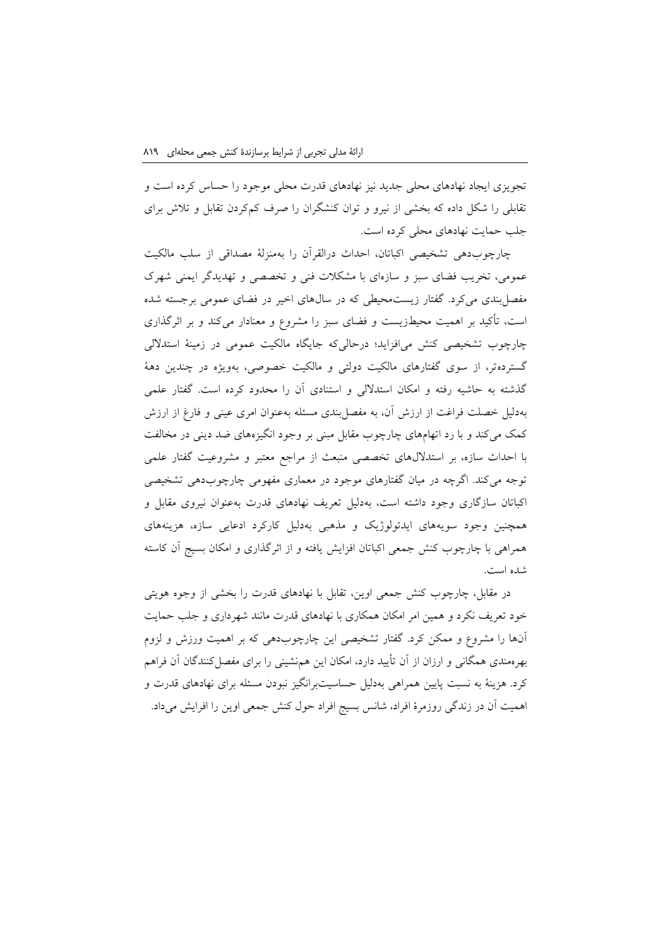تجویزی ایجاد نهادهای محلی جدید نیز نهادهای قدرت محلی موجود را حساس کرده است و تقابلی را شکل داده که بخشی از نیرو و توان کنشگران را صرف کمکردن تقابل و تالش برای جلب حمایت نهادهای محلی کرده است.

چارچوبدهی تشخیصی اکباتان، احداث درالقرآن را بهمنزلة مصداقی از سلب مالکیت عمومی، تخریب فضای سبز و سازهای با مشکالت فنی و تخصصی و تهدیدگر ایمنی شهرک مفصلبندی میکرد. گفتار زیستمحیطی که در سالهای اخیر در فضای عمومی برجسته شده است، تأکید بر اهمیت محیطزیست و فضای سبز را مشروع و معنادار میکند و بر اثرگذاری چارچوب تشخیصی کنش میافزاید؛ درحالیکه جایگاه مالکیت عمومی در زمینة استداللی گستردهتر، از سوی گفتارهای مالکیت دولتی و مالکیت خصوصی، بهویژه در چندین دهة گذشته به حاشیه رفته و امکان استداللی و استنادی آن را محدود کرده است. گفتار علمی بهدلیل خصلت فراغت از ارزش آن، به مفصلبندی مسئله بهعنوان امری عینی و فارغ از ارزش کمک میکند و با رد اتهامهای چارچوب مقابل مبنی بر وجود انگیزههای ضد دینی در مخالفت با احداث سازه، بر استداللهای تخصصی منبعث از مراجع معتبر و مشروعیت گفتار علمی توجه میکند. اگرچه در میان گفتارهای موجود در معماری مفهومی چارچوبدهی تشخیصی اکباتان سازگاری وجود داشته است، بهدلیل تعریف نهادهای قدرت بهعنوان نیروی مقابل و همچنین وجود سویههای ایدئولوژیک و مذهبی بهدلیل کارکرد ادعایی سازه، هزینههای همراهی با چارچوب کنش جمعی اکباتان افزایش یافته و از اثرگذاری و امکان بسیج آن کاسته شده است.

در مقابل، چارچوب کنش جمعی اوین، تقابل با نهادهای قدرت را بخشی از وجوه هویتی خود تعریف نکرد و همین امر امکان همکاری با نهادهای قدرت مانند شهرداری و جلب حمایت آنها را مشروع و ممکن کرد. گفتار تشخیصی این چارچوبدهی که بر اهمیت ورزش و لزوم بهرهمندی همگانی و ارزان از آن تأیید دارد، امکان این همنشینی را برای مفصلکنندگان آن فراهم کرد. هزینة به نسبت پایین همراهی بهدلیل حساسیتبرانگیز نبودن مسئله برای نهادهای قدرت و اهمیت آن در زندگی روزمرة افراد، شانس بسیج افراد حول کنش جمعی اوین را افرایش میداد.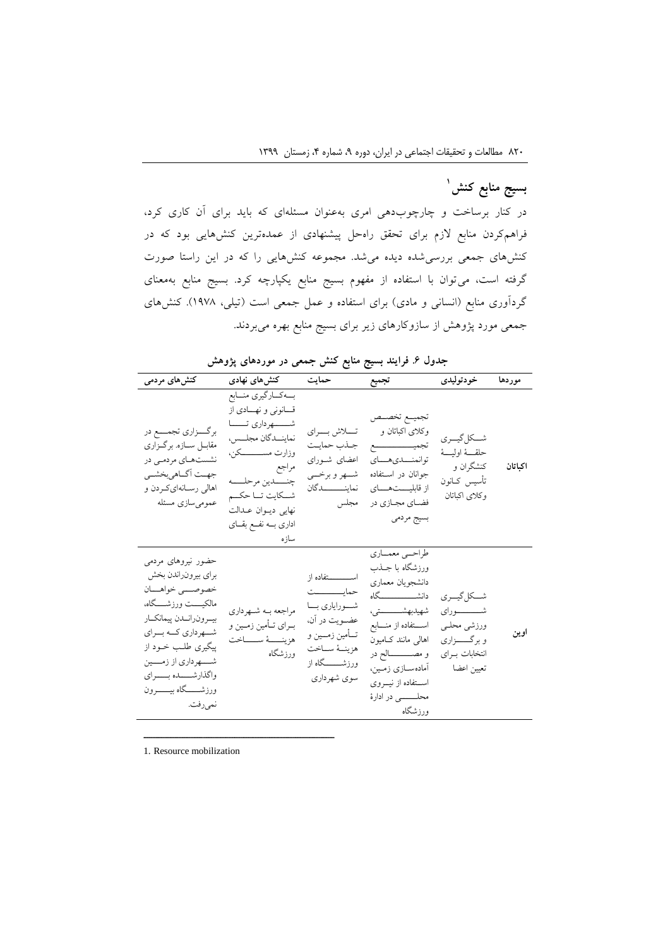# **1 بسیج منابع کنش**

در کنار برساخت و چارچوبدهی امری بهعنوان مسئلهای که باید برای آن کاری کرد، فراهمکردن منابع الزم برای تحقق راهحل پیشنهادی از عمدهترین کنشهایی بود که در کنشهای جمعی بررسیشده دیده میشد. مجموعه کنشهایی را که در این راستا صورت گرفته است، میتوان با استفاده از مفهوم بسیج منابع یکپارچه کرد. بسیج منابع بهمعنای گردآوری منابع (انسانی و مادی) برای استفاده و عمل جمعی است (تیلی، ۱۹۷۸). کنش۱های جمعی مورد پژوهش از سازوکارهای زیر برای بسیج منابع بهره میبردند.

|                                                                                                                                                                                                                                                                 | ی ر پر پږ پ                                                                                                                                                                                                                      | . U<br>Ć                                                                                                                                                      | ر                                                                                                                                                                                                                                                             |                                                                                                   |         |
|-----------------------------------------------------------------------------------------------------------------------------------------------------------------------------------------------------------------------------------------------------------------|----------------------------------------------------------------------------------------------------------------------------------------------------------------------------------------------------------------------------------|---------------------------------------------------------------------------------------------------------------------------------------------------------------|---------------------------------------------------------------------------------------------------------------------------------------------------------------------------------------------------------------------------------------------------------------|---------------------------------------------------------------------------------------------------|---------|
| کنشهای مردمی                                                                                                                                                                                                                                                    | کنش های نهادی                                                                                                                                                                                                                    | حمايت                                                                                                                                                         | تجميع                                                                                                                                                                                                                                                         | خودتوليدى                                                                                         | موردها  |
| برگـــزاري تجمــــع در<br>مقابـل سـازه. برگـزاري<br>نشستهای مردمی در<br>جهـت أكــاهيبخشــي<br>اهالي رسانهاي كردن و<br>عمومىسازى مسئله                                                                                                                           | بمكاركيري منسابع<br>قـانوني ونهـادي از<br>شـــــــهرداري تــــــا<br>نماينــدگان مجلــس،<br>وزارت مســــــــــکن،<br>مراجع<br>چنــــدين مرحلـــــه<br>شــكايت تــا حكــم<br>نهايي ديوان عدالت<br>اداری بــه نفــع بقــای<br>سازه | تسلاش بسراي<br>جذب حمايت<br>اعضای شـورای<br>شمهر و برخمي<br>نماينـــــــــدگان<br>مجلس                                                                        | تجميسع تخصسص<br>وکلای اکباتان و<br>توانمنسدى هساي<br>جوانان در استفاده<br>از قابليستهساى<br>فضاي مجازي در<br>بسيج مردمي                                                                                                                                       | شكل گيري<br>حلقسة اوليسة<br>کنشگران و<br>تأسيس كــانون<br>وكلاى اكباتان                           | اكباتان |
| حضور نیروهای مردمی<br>براي بيرونراندن بخش<br>خصوصـــي خواهــــان<br>مالكيــــت ورزشـــــگاه،<br>بيمرون رانمدن پيمانكمار<br>شمرداري كمه بسراي<br>پیگیری طلب خــود از<br>شــــهرداري از زمــــين<br>واگذارشــــده بــــراي<br>ورزشـــــگاه بيــــــرون<br>نميرفت. | مراجعه بــه شــهرداري<br>بــراي تــأمين زمــين و<br>هزينـــــهٔ ســــــاخت<br>ورزشگاه                                                                                                                                            | اســــــــــتفاده از<br>حمايـــــــــــت<br>شـــوراياري بـــا<br>عضـويت در أن،<br>تـــأمين زمــــين و<br>هزينــهٔ ســاخت<br>ورزشــــــــگاه از<br>سوي شهرداري | طراحمي معمماري<br>ورزشگاه با جــذب<br>دانشجويان معماري<br>دانشـــــــــــــــــگاه<br>شهيدبهشـــــــــتى،<br>استفاده از منـــابع<br>اهالی مانند کامیون<br>و مصــــــــالح در<br>أمادهســازي زمــين،<br>استفاده از نیووی<br>محلـــــــــي در ادارهٔ<br>ورزشگاه | شـــكل&يــــرى<br>شــــــــــوراي<br>ورزشي محليي<br>و برگـــــزاري<br>انتخابات براي<br>تعيين اعضا | اوين    |

**جدول .6 فرایند بسیج منابع کنش جمعی در موردهای پژوهش**

1. Resource mobilization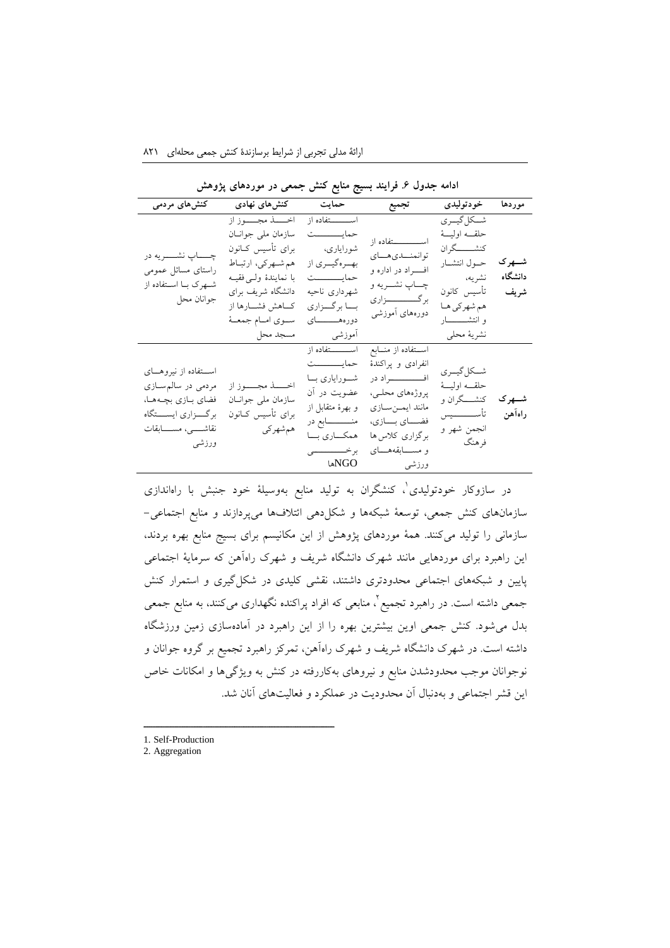| کنشهای مردمی                                                                                                                    | کنشهای نهادی                                                                            | حمايت              | تجميع                                                        | خودتوليدى                                      | موردها   |
|---------------------------------------------------------------------------------------------------------------------------------|-----------------------------------------------------------------------------------------|--------------------|--------------------------------------------------------------|------------------------------------------------|----------|
|                                                                                                                                 | اخــــــذ مجـــــوز از                                                                  | اســـــــتفاده از  |                                                              | شـــكل گيـــرى                                 |          |
|                                                                                                                                 | سازمان ملي جوانان                                                                       | حمايسسست           | اســـــــــــتفاده از<br>توانمنسدى هساي<br>افسراد در اداره و | حلقــه اوليــــهٔ                              | شـــهر ک |
|                                                                                                                                 | براى تأسيس كــانون                                                                      | شوراياري،          |                                                              | كنشـــــــگران                                 |          |
| چـــــاپ نشــــــريه در                                                                                                         | هم شهركي، ارتباط                                                                        | بهــرهگیــري از    |                                                              | حول انتشار                                     |          |
| راستای مسائل عمومی                                                                                                              | با نمايندهٔ ولـى فقيــه                                                                 | حمايسسسست          |                                                              | نشريه،                                         | دانشگاه  |
| شهرک با استفاده از                                                                                                              | دانشگاه شريف براي                                                                       | شهردارى ناحيه      | چــــاپ نشــــــريه و                                        | تأسيس كانون                                    | شريف     |
| جوانان محل                                                                                                                      | كــاهش فشــارها از                                                                      | بـــا برگـــزاري   | برگــــــــــــزاري                                          | هم شهركي هـا                                   |          |
|                                                                                                                                 | سوى امام جمعـۀ                                                                          | دورههــــــاي      | دورههای أموزشی                                               | و انتشــــــــــار                             |          |
|                                                                                                                                 | مسجد محل                                                                                | أموزشى             |                                                              | نشريهٔ محلي                                    |          |
|                                                                                                                                 |                                                                                         | اســــــــتفاده از | استفاده از منابع                                             |                                                |          |
|                                                                                                                                 | اخـــــــــــــد مجـــــــــوز از<br>سازمان ملي جوانان<br>براى تأسيس كــانون<br>همشهركي | حمايــــــــــت    | انفرادى و پراكندهٔ                                           | شكل گيري<br>حلقــه اوليــــهٔ<br>كنشــــگران و |          |
| اســـتفاده از نيروهـــاى<br>مردمی در سالم سازی<br>فضاي بازي بچهها،<br>برگـــزاري ايســــتگاه<br>نقاشســـی، مســــابقات<br>ورزشى |                                                                                         | شورایاری با        | افــــــــــــــــراد در                                     |                                                |          |
|                                                                                                                                 |                                                                                         | عضویت در آن        | پروژههای محلـی،                                              |                                                |          |
|                                                                                                                                 |                                                                                         | و بهرهٔ متقابل از  | مانند ايمىن سازى                                             |                                                | شـــهر ک |
|                                                                                                                                 |                                                                                         | منــــــــــابع در | فضــاي بــازي،                                               | تأســــــــيس                                  | راهآهن   |
|                                                                                                                                 |                                                                                         | همكساري بسا        | برگزاري كلاس ها                                              | انجمن شهر و<br>فرهنگ                           |          |
|                                                                                                                                 |                                                                                         | برخـــــــــــــى  | و مســابقههــای                                              |                                                |          |
|                                                                                                                                 |                                                                                         | NGOها              | ورزشى                                                        |                                                |          |

ادامه جدول ۶<sub>.</sub> فرایند بسیج منابع کنش جمعی در موردهای پژوهش

در سازوکار خودتولیدی'، کنشگران به تولید منابع بهوسیلهٔ خود جنبش با راهاندازی سازمانهای کنش جمعی، توسعة شبکهها و شکلدهی ائتالفها میپردازند و منابع اجتماعی- سازمانی را تولید میکنند. همة موردهای پژوهش از این مکانیسم برای بسیج منابع بهره بردند، این راهبرد برای موردهایی مانند شهرک دانشگاه شریف و شهرک راهآهن که سرمایة اجتماعی پایین و شبکههای اجتماعی محدودتری داشتند، نقشی کلیدی در شکلگیری و استمرار کنش جمعی داشته است. در راهبرد تجمیع<sup>۲</sup>، منابعی که افراد پراکنده نگهداری میکنند، به منابع جمعی بدل میشود. کنش جمعی اوین بیشترین بهره را از این راهبرد در آمادهسازی زمین ورزشگاه داشته است. در شهرک دانشگاه شریف و شهرک راهآهن، تمرکز راهبرد تجمیع بر گروه جوانان و نوجوانان موجب محدودشدن منابع و نیروهای بهکاررفته در کنش به ویژگیها و امکانات خاص این قشر اجتماعی و بهدنبال آن محدودیت در عملکرد و فعالیتهای آنان شد.

1. Self-Production

ــــــــــــــــــــــــــــــــــــــــــــــــــــــــــــــــــــــــــــــــــــــــــــــــــــــــــــــــــــــــــــــــــــــــــــــــ

2. Aggregation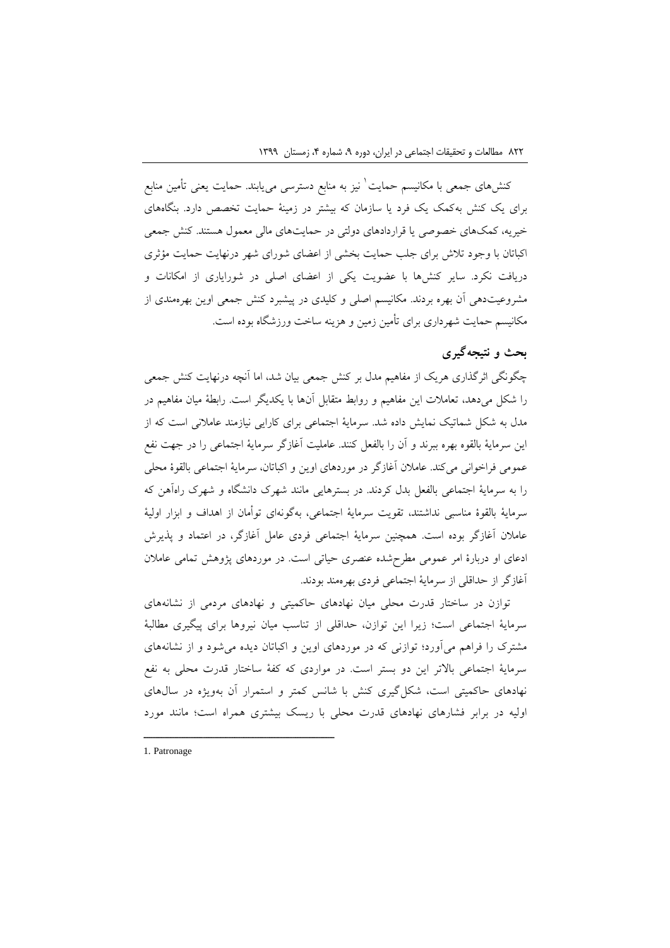کنشهای جمعی با مکانیسم حمایت ٰ نیز به منابع دسترسی میbباند. حمایت یعنی تأمین منابع برای یک کنش بهکمک یک فرد یا سازمان که بیشتر در زمینة حمایت تخصص دارد. بنگاههای خیریه، کمکهای خصوصی یا قراردادهای دولتی در حمایتهای مالی معمول هستند. کنش جمعی اکباتان با وجود تالش برای جلب حمایت بخشی از اعضای شورای شهر درنهایت حمایت مؤثری دریافت نکرد. سایر کنشها با عضویت یکی از اعضای اصلی در شورایاری از امکانات و مشروعیتدهی آن بهره بردند. مکانیسم اصلی و کلیدی در پیشبرد کنش جمعی اوین بهرهمندی از مکانیسم حمایت شهرداری برای تأمین زمین و هزینه ساخت ورزشگاه بوده است.

# **بحث و نتیجهگیری**

چگونگی اثرگذاری هریک از مفاهیم مدل بر کنش جمعی بیان شد، اما آنچه درنهایت کنش جمعی را شکل میدهد، تعامالت این مفاهیم و روابط متقابل آنها با یکدیگر است. رابطة میان مفاهیم در مدل به شکل شماتیک نمایش داده شد. سرمایة اجتماعی برای کارایی نیازمند عامالنی است که از این سرمایة بالقوه بهره ببرند و آن را بالفعل کنند. عاملیت آغازگر سرمایة اجتماعی را در جهت نفع عمومی فراخوانی میکند. عامالن آغازگر در موردهای اوین و اکباتان، سرمایة اجتماعی بالقوة محلی را به سرمایة اجتماعی بالفعل بدل کردند. در بسترهایی مانند شهرک دانشگاه و شهرک راهآهن که سرمایة بالقوة مناسبی نداشتند، تقویت سرمایة اجتماعی، بهگونهای توأمان از اهداف و ابزار اولیة عامالن آغازگر بوده است. همچنین سرمایة اجتماعی فردی عامل آغازگر، در اعتماد و پذیرش ادعای او دربارة امر عمومی مطرحشده عنصری حیاتی است. در موردهای پژوهش تمامی عامالن آغازگر از حداقلی از سرمایة اجتماعی فردی بهرهمند بودند.

توازن در ساختار قدرت محلی میان نهادهای حاکمیتی و نهادهای مردمی از نشانههای سرمایة اجتماعی است؛ زیرا این توازن، حداقلی از تناسب میان نیروها برای پیگیری مطالبة مشترک را فراهم میآورد؛ توازنی که در موردهای اوین و اکباتان دیده میشود و از نشانههای سرمایة اجتماعی باالتر این دو بستر است. در مواردی که کفة ساختار قدرت محلی به نفع نهادهای حاکمیتی است، شکلگیری کنش با شانس کمتر و استمرار آن بهویژه در سالهای اولیه در برابر فشارهای نهادهای قدرت محلی با ریسک بیشتری همراه است؛ مانند مورد

1. Patronage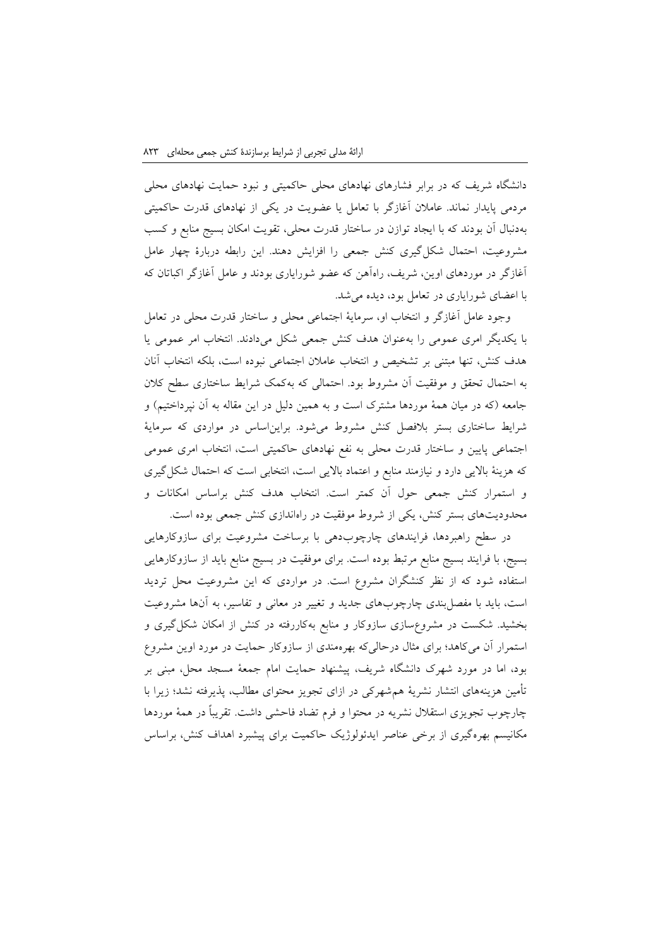دانشگاه شریف که در برابر فشارهای نهادهای محلی حاکمیتی و نبود حمایت نهادهای محلی مردمی پایدار نماند. عامالن آغازگر با تعامل یا عضویت در یکی از نهادهای قدرت حاکمیتی بهدنبال آن بودند که با ایجاد توازن در ساختار قدرت محلی، تقویت امکان بسیج منابع و کسب مشروعیت، احتمال شکلگیری کنش جمعی را افزایش دهند. این رابطه دربارة چهار عامل آغازگر در موردهای اوین، شریف، راهآهن که عضو شورایاری بودند و عامل آغازگر اکباتان که با اعضای شورایاری در تعامل بود، دیده میشد.

وجود عامل آغازگر و انتخاب او، سرمایة اجتماعی محلی و ساختار قدرت محلی در تعامل با یکدیگر امری عمومی را بهعنوان هدف کنش جمعی شکل میدادند. انتخاب امر عمومی یا هدف کنش، تنها مبتنی بر تشخیص و انتخاب عامالن اجتماعی نبوده است، بلکه انتخاب آنان به احتمال تحقق و موفقیت آن مشروط بود. احتمالی که بهکمک شرایط ساختاری سطح کالن جامعه )که در میان همة موردها مشترک است و به همین دلیل در این مقاله به آن نپرداختیم( و شرایط ساختاری بستر بالفصل کنش مشروط میشود. برایناساس در مواردی که سرمایة اجتماعی پایین و ساختار قدرت محلی به نفع نهادهای حاکمیتی است، انتخاب امری عمومی که هزینهٔ بالایی دارد و نیازمند منابع و اعتماد بالایی است، انتخابی است که احتمال شکل گیری و استمرار کنش جمعی حول آن کمتر است. انتخاب هدف کنش براساس امکانات و محدودیتهای بستر کنش، یکی از شروط موفقیت در راهاندازی کنش جمعی بوده است.

در سطح راهبردها، فرایندهای چارچوبدهی با برساخت مشروعیت برای سازوکارهایی بسیج، با فرایند بسیج منابع مرتبط بوده است. برای موفقیت در بسیج منابع باید از سازوکارهایی استفاده شود که از نظر کنشگران مشروع است. در مواردی که این مشروعیت محل تردید است، باید با مفصلبندی چارچوبهای جدید و تغییر در معانی و تفاسیر، به آنها مشروعیت بخشید. شکست در مشروعسازی سازوکار و منابع بهکاررفته در کنش از امکان شکلگیری و استمرار آن میکاهد؛ برای مثال درحالیکه بهرهمندی از سازوکار حمایت در مورد اوین مشروع بود، اما در مورد شهرک دانشگاه شریف، پیشنهاد حمایت امام جمعة مسجد محل، مبنی بر تأمین هزینههای انتشار نشریة همشهرکی در ازای تجویز محتوای مطالب، پذیرفته نشد؛ زیرا با چارچوب تجویزی استقالل نشریه در محتوا و فرم تضاد فاحشی داشت. تقریباً در همة موردها مکانیسم بهرهگیری از برخی عناصر ایدئولوژیک حاکمیت برای پیشبرد اهداف کنش، براساس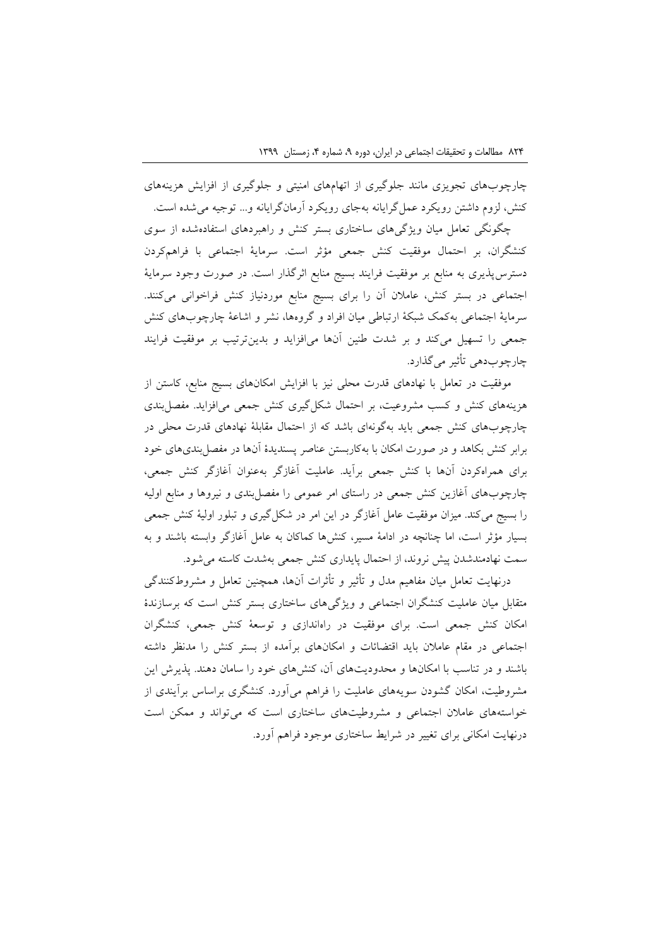چارچوبهای تجویزی مانند جلوگیری از اتهامهای امنیتی و جلوگیری از افزایش هزینههای کنش، لزوم داشتن رویکرد عملگرایانه بهجای رویکرد آرمانگرایانه و... توجیه میشده است.

چگونگی تعامل میان ویژگیهای ساختاری بستر کنش و راهبردهای استفادهشده از سوی کنشگران، بر احتمال موفقیت کنش جمعی مؤثر است. سرمایة اجتماعی با فراهمکردن دسترسپذیری به منابع بر موفقیت فرایند بسیج منابع اثرگذار است. در صورت وجود سرمایة اجتماعی در بستر کنش، عامالن آن را برای بسیج منابع موردنیاز کنش فراخوانی میکنند. سرمایة اجتماعی بهکمک شبکة ارتباطی میان افراد و گروهها، نشر و اشاعة چارچوبهای کنش جمعی را تسهیل میکند و بر شدت طنین آنها میافزاید و بدینترتیب بر موفقیت فرایند چارچوبدهی تأثیر میگذارد.

موفقیت در تعامل با نهادهای قدرت محلی نیز با افزایش امکانهای بسیج منابع، کاستن از هزینههای کنش و کسب مشروعیت، بر احتمال شکلگیری کنش جمعی میافزاید. مفصلبندی چارچوبهای کنش جمعی باید بهگونهای باشد که از احتمال مقابلة نهادهای قدرت محلی در برابر کنش بکاهد و در صورت امکان با بهکاربستن عناصر پسندیدة آنها در مفصلبندیهای خود برای همراهکردن آنها با کنش جمعی برآید. عاملیت آغازگر بهعنوان آغازگر کنش جمعی، چارچوبهای آغازین کنش جمعی در راستای امر عمومی را مفصلبندی و نیروها و منابع اولیه را بسیج میکند. میزان موفقیت عامل آغازگر در این امر در شکلگیری و تبلور اولیة کنش جمعی بسیار مؤثر است، اما چنانچه در ادامة مسیر، کنشها کماکان به عامل آغازگر وابسته باشند و به سمت نهادمندشدن پیش نروند، از احتمال پایداری کنش جمعی بهشدت کاسته میشود.

درنهایت تعامل میان مفاهیم مدل و تأثیر و تأثرات آنها، همچنین تعامل و مشروطکنندگی متقابل میان عاملیت کنشگران اجتماعی و ویژگیهای ساختاری بستر کنش است که برسازندة امکان کنش جمعی است. برای موفقیت در راهاندازی و توسعة کنش جمعی، کنشگران اجتماعی در مقام عامالن باید اقتضائات و امکانهای برآمده از بستر کنش را مدنظر داشته باشند و در تناسب با امکانها و محدودیتهای آن، کنشهای خود را سامان دهند. پذیرش این مشروطیت، امکان گشودن سویههای عاملیت را فراهم میآورد. کنشگری براساس برآیندی از خواستههای عامالن اجتماعی و مشروطیتهای ساختاری است که میتواند و ممکن است درنهایت امکانی برای تغییر در شرایط ساختاری موجود فراهم آورد.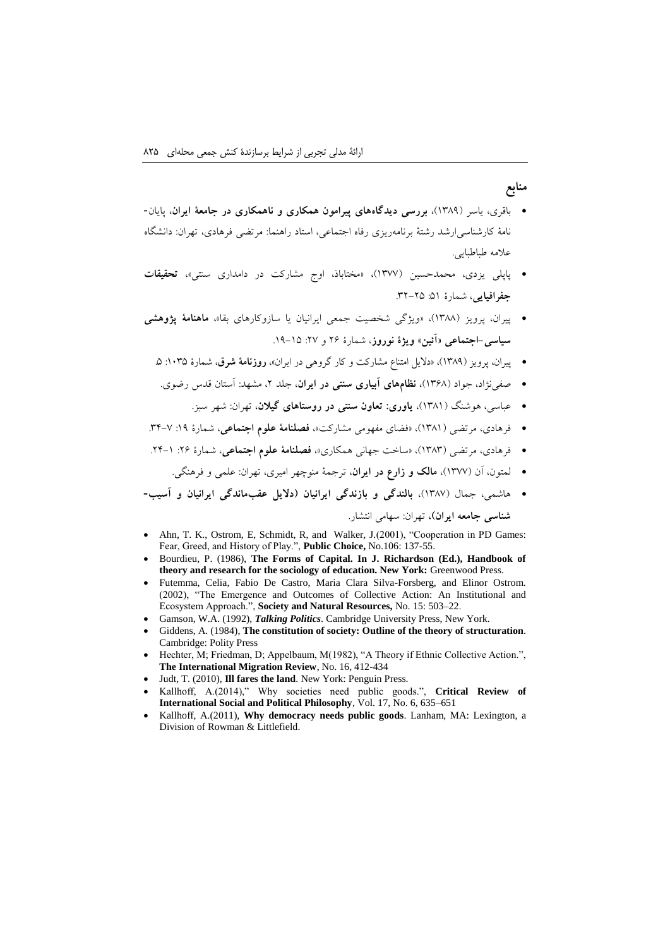#### **منابع**

- باقری، یاسر )1320(، **بررسی دیدگاههای پیرامون همکاری و ناهمکاری در جامعة ایران**، پایان- نامة کارشناسیارشد رشتة برنامهریزی رفاه اجتماعی، استاد راهنما: مرتضی فرهادی، تهران: دانشگاه عالمه طباطبایی.
- پاپلی یزدی، محمدحسین )1399(، »مختاباذ، اوج مشارکت در دامداری سنتی«، **تحقیقات جفرافیایی**، شمارة :21 .30-02
- پیران، پرویز )1322(، »ویژگی شخصیت جمعی ایرانیان یا سازوکارهای بقا«، **ماهنامة پژوهشی سیاسی-اجتماعی »آئین« ویژة نوروز**، شمارة 00 و :09 .10-12
	- پیران، پرویز (۱۳۸۹)، «دلایل امتناع مشارکت و کار گروهی در ایران»، **روزنامهٔ شرق**، شمارهٔ ۱۰۳۵: ۵.
	- صفینژاد، جواد )1302(، **نظامهای آبیاری سنتی در ایران**، جلد ،0 مشهد: آستان قدس رضوی.
		- عباسی، هوشنگ )1321(، **یاوری: تعاون سنتی در روستاهای گیالن**، تهران: شهر سبز.
- فرهادی، مرتضی (۱۳۸۱)، «فضای مفهومی مشارکت»، **فصلنامهٔ علوم اجتماعی**، شمارهٔ ۱۹: ۷−۳۴.
- فرهادی، مرتضی )1323(، »ساخت جهانی همکاری«، **فصلنامة علوم اجتماعی**، شمارة :00 .01-1
	- لمتون، آن )1399(، **مالک و زارع در ایران**، ترجمة منوچهر امیری، تهران: علمی و فرهنگی.
- هاشمی، جمال )1329(، **بالندگی و بازندگی ایرانیان )دالیل عقبماندگی ایرانیان و آسیب- شناسی جامعه ایران(،** تهران: سهامی انتشار.
- Ahn, T. K., Ostrom, E, Schmidt, R, and Walker, J.(2001), "Cooperation in PD Games: Fear, Greed, and History of Play.", **Public Choice,** No.106: 137-55.
- Bourdieu, P. (1986), **The Forms of Capital. In J. Richardson (Ed.), Handbook of theory and research for the sociology of education. New York:** Greenwood Press.
- Futemma, Celia, Fabio De Castro, Maria Clara Silva-Forsberg, and Elinor Ostrom. (2002), "The Emergence and Outcomes of Collective Action: An Institutional and Ecosystem Approach.", **Society and Natural Resources,** No. 15: 503–22.
- Gamson, W.A. (1992), *Talking Politics*. Cambridge University Press, New York.
- Giddens, A. (1984), **The constitution of society: Outline of the theory of structuration**. Cambridge: Polity Press
- Hechter, M; Friedman, D; Appelbaum, M(1982), "A Theory if Ethnic Collective Action.", **The International Migration Review**, No. 16, 412-434
- Judt, T. (2010), **Ill fares the land**. New York: Penguin Press.
- Kallhoff, A.(2014)," Why societies need public goods.", Critical Review of **International Social and Political Philosophy**, Vol. 17, No. 6, 635–651
- Kallhoff, A.(2011), **Why democracy needs public goods**. Lanham, MA: Lexington, a Division of Rowman & Littlefield.